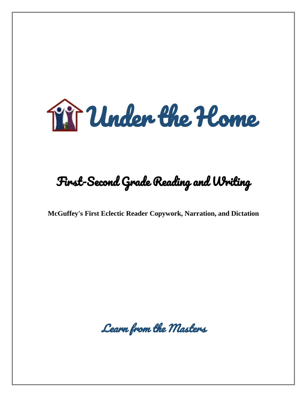

## First-Second Grade Reading and Writing

**McGuffey's First Eclectic Reader Copywork, Narration, and Dictation**

Learn from the Masters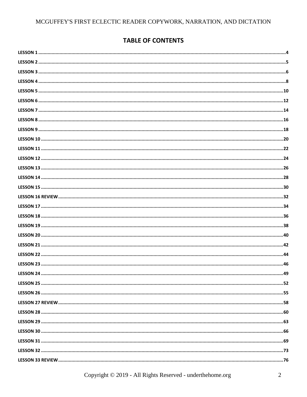### **TABLE OF CONTENTS**

| LESSON 24. | .49 |
|------------|-----|
|            |     |
|            |     |
|            |     |
|            |     |
|            |     |
|            |     |
|            |     |
|            |     |
|            |     |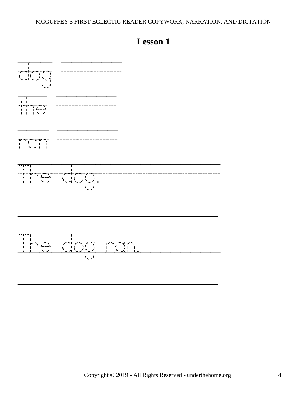<span id="page-3-0"></span>

| <u></u><br>J,<br>Ţ<br>The Common Common<br>$\sqrt{2}$ | 十六 天皇<br>$\mathbf{T}$ |  |
|-------------------------------------------------------|-----------------------|--|
|                                                       |                       |  |
|                                                       |                       |  |
|                                                       |                       |  |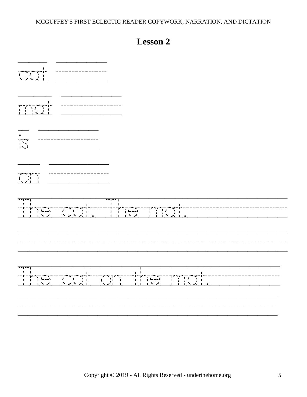<span id="page-4-0"></span>

| $\begin{array}{c c c c c} 1 & 1 & 1 & 1 \\ 1 & 1 & 1 & 1 \\ 1 & 1 & 1 & 1 \\ \hline \end{array}$<br>$\begin{array}{cccccc} \multicolumn{2}{c}{} & \multicolumn{2}{c}{} & \multicolumn{2}{c}{} & \multicolumn{2}{c}{} & \multicolumn{2}{c}{} & \multicolumn{2}{c}{} & \multicolumn{2}{c}{} & \multicolumn{2}{c}{} & \multicolumn{2}{c}{} & \multicolumn{2}{c}{} & \multicolumn{2}{c}{} & \multicolumn{2}{c}{} & \multicolumn{2}{c}{} & \multicolumn{2}{c}{} & \multicolumn{2}{c}{} & \multicolumn{2}{c}{} & \multicolumn{2}{c}{} & \multicolumn{2}{c}{} & \multicolumn{2}{c}{} & \multic$<br>$\begin{tabular}{ c c c } \hline \quad \quad & \quad \quad & \quad \quad \\ \hline \quad \quad & \quad \quad & \quad \quad \\ \hline \quad \quad & \quad \quad & \quad \quad \\ \hline \quad \quad & \quad \quad & \quad \quad \\ \hline \quad \quad & \quad \quad & \quad \quad \\ \hline \quad \quad & \quad \quad & \quad \quad \\ \hline \end{tabular}$ |
|---------------------------------------------------------------------------------------------------------------------------------------------------------------------------------------------------------------------------------------------------------------------------------------------------------------------------------------------------------------------------------------------------------------------------------------------------------------------------------------------------------------------------------------------------------------------------------------------------------------------------------------------------------------------------------------------------------------------------------------------------------------------------------------------------------------------------------------------------------------------------------------------------------------------------------------------------------|
|                                                                                                                                                                                                                                                                                                                                                                                                                                                                                                                                                                                                                                                                                                                                                                                                                                                                                                                                                         |
|                                                                                                                                                                                                                                                                                                                                                                                                                                                                                                                                                                                                                                                                                                                                                                                                                                                                                                                                                         |
| $\begin{array}{c} \n\begin{array}{c}\n\uparrow \\ \downarrow \\ \downarrow\n\end{array} & \begin{array}{c}\n\downarrow \\ \downarrow \\ \downarrow\n\end{array} & \begin{array}{c}\n\downarrow \\ \downarrow \\ \downarrow\n\end{array} & \begin{array}{c}\n\downarrow \\ \downarrow \\ \downarrow\n\end{array} & \begin{array}{c}\n\downarrow \\ \downarrow \\ \downarrow\n\end{array} & \begin{array}{c}\n\downarrow \\ \downarrow \\ \downarrow \\ \downarrow\n\end{array} & \begin{array}{c}\n\downarrow \\ \downarrow \\ \downarrow\n\end{array} & \begin{array}{c}\n\downarrow \\ \downarrow \\ \downarrow \\ \downarrow\n\$                                                                                                                                                                                                                                                                                                                      |
|                                                                                                                                                                                                                                                                                                                                                                                                                                                                                                                                                                                                                                                                                                                                                                                                                                                                                                                                                         |
|                                                                                                                                                                                                                                                                                                                                                                                                                                                                                                                                                                                                                                                                                                                                                                                                                                                                                                                                                         |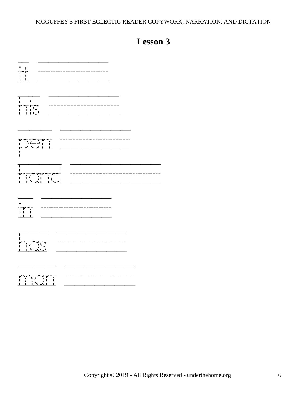<span id="page-5-0"></span>

| $\bullet$ .<br>___________<br>$\sum_{i=1}^{n}$            |
|-----------------------------------------------------------|
| $\begin{array}{c}\n12 \\ 13 \\ 14\n\end{array}$           |
| ī                                                         |
| ----------<br>----------<br>٦Ī<br>T<br>' דור<br>     <br> |
| The Story                                                 |
| $\frac{1}{2}$<br>Ý                                        |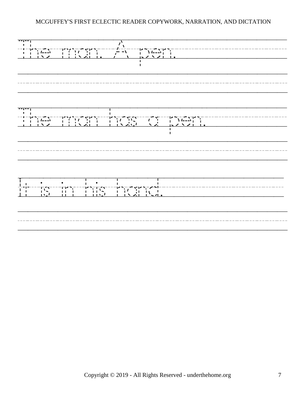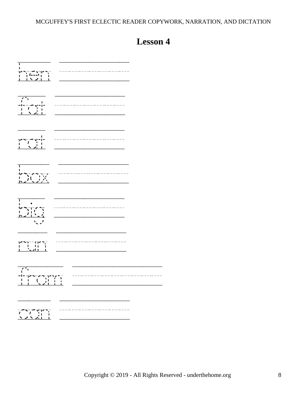<span id="page-7-0"></span>

| ------------                                                                                                                                                                                                                                                                                                                                                                                                                                                                                                                                                                              |
|-------------------------------------------------------------------------------------------------------------------------------------------------------------------------------------------------------------------------------------------------------------------------------------------------------------------------------------------------------------------------------------------------------------------------------------------------------------------------------------------------------------------------------------------------------------------------------------------|
| $\begin{array}{c c c c c} \hline & & & & & & \\ \hline & & & & & & \\ \hline & & & & & & \\ \hline & & & & & & \\ \hline & & & & & & \\ \hline & & & & & & \\ \hline & & & & & & \\ \hline & & & & & & \\ \hline & & & & & & & \\ \hline & & & & & & & \\ \hline & & & & & & & & \\ \hline \end{array}$<br>————————<br>-----------                                                                                                                                                                                                                                                        |
|                                                                                                                                                                                                                                                                                                                                                                                                                                                                                                                                                                                           |
| XX<br>т                                                                                                                                                                                                                                                                                                                                                                                                                                                                                                                                                                                   |
| $\begin{array}{c c c c c} \hline & & & & \\ \hline & & & & \\ \hline & & & & \\ \hline & & & & \\ \hline & & & & \\ \hline & & & & \\ \hline & & & & \\ \hline & & & & \\ \hline & & & & \\ \hline & & & & \\ \hline & & & & & \\ \hline \end{array}$                                                                                                                                                                                                                                                                                                                                     |
| ┪ <b>┙</b> ╾┙╌╶┍┪╝╺╌<br>╽┈╴╿┈╵╿╷┈╿<br>╿┈╌ <u>╹</u> ╾┙╿┈╌┸                                                                                                                                                                                                                                                                                                                                                                                                                                                                                                                                 |
| $\begin{array}{c} \begin{array}{c} \uparrow \uparrow \cr \uparrow \end{array} \cr \begin{array}{c} \uparrow \uparrow \cr \uparrow \end{array} \cr \begin{array}{c} \uparrow \uparrow \end{array} \cr \begin{array}{c} \uparrow \uparrow \end{array} \cr \begin{array}{c} \downarrow \end{array} \cr \begin{array}{c} \downarrow \end{array} \cr \begin{array}{c} \downarrow \end{array} \cr \begin{array}{c} \downarrow \end{array} \cr \begin{array}{c} \downarrow \end{array} \cr \begin{array}{c} \downarrow \end{array} \cr \begin{array}{c} \downarrow \end{array} \cr \begin{array$ |
|                                                                                                                                                                                                                                                                                                                                                                                                                                                                                                                                                                                           |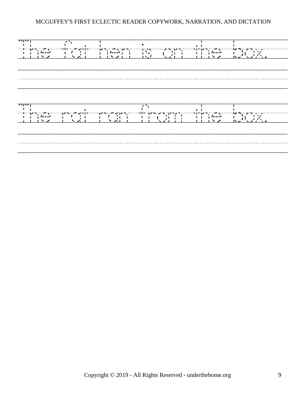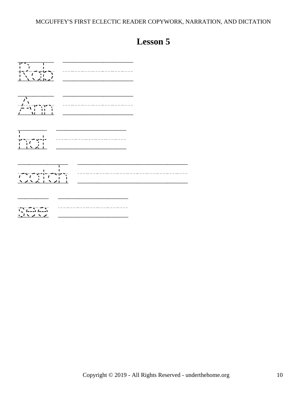<span id="page-9-0"></span>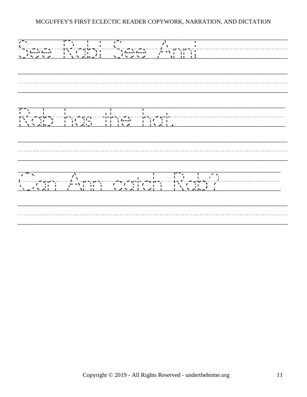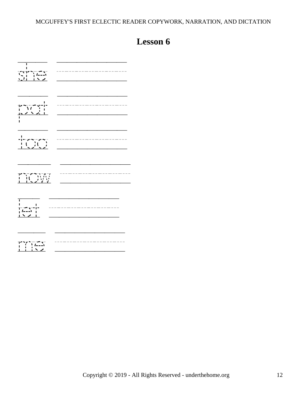<span id="page-11-0"></span>

| $\sum_{i=1}^{n}$                                                        |   |
|-------------------------------------------------------------------------|---|
|                                                                         | . |
| $\begin{array}{c} 1 \\ -1 \\ \hline 1 \\ -1 \end{array}$                |   |
|                                                                         |   |
| т<br>$\begin{array}{c c}\n&1\\ \hline\n&1\n\end{array}$<br>$\sim$ 2 $+$ | . |
|                                                                         |   |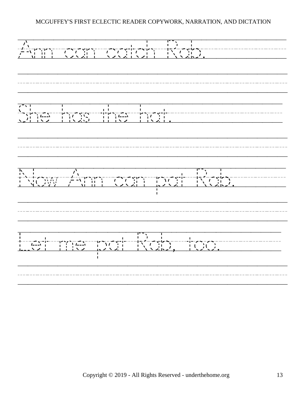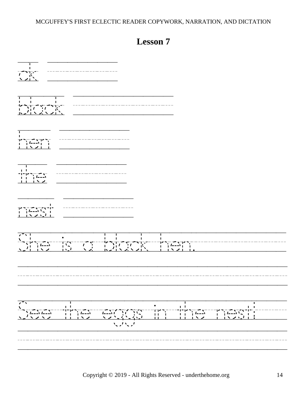<span id="page-13-0"></span>

| $\begin{array}{c}\n\overrightarrow{1}\\ \overrightarrow{1}\\ \overrightarrow{1}\\ \overrightarrow{2}\\ \overrightarrow{1}\n\end{array}$                                                                        |                                                                                                                                                                                       |                |
|----------------------------------------------------------------------------------------------------------------------------------------------------------------------------------------------------------------|---------------------------------------------------------------------------------------------------------------------------------------------------------------------------------------|----------------|
|                                                                                                                                                                                                                |                                                                                                                                                                                       |                |
| L.                                                                                                                                                                                                             |                                                                                                                                                                                       |                |
|                                                                                                                                                                                                                |                                                                                                                                                                                       |                |
| $\begin{array}{c} \n\begin{array}{c}\n\sqrt{1-\frac{1}{2}} & \sqrt{1-\frac{1}{2}} \\ \sqrt{1-\frac{1}{2}} & \sqrt{1-\frac{1}{2}} \\ \sqrt{1-\frac{1}{2}} & \sqrt{1-\frac{1}{2}} \\ \end{array} \\ \end{array}$ |                                                                                                                                                                                       |                |
| $\sqrt{2}$                                                                                                                                                                                                     | $\blacksquare$                                                                                                                                                                        |                |
| $\sqrt{2}$<br>$\mathbf{I}=\mathbf{I}$<br>$\sqrt{\frac{1}{2}}$<br>$\frac{1}{1}$<br>- 11<br>$\boldsymbol{\mathcal{N}}$ .                                                                                         | $\begin{array}{c}\n 1 \\  -1 \\  -1 \\  1 \\  1 \\  -1\n \end{array}$<br>$\begin{bmatrix} 1 & 1 \\ 1 & 1 \end{bmatrix}$<br>ירדי<br>דו<br>$\frac{1}{2}$<br>$\frac{1}{1}$<br>÷.<br>ハントン | $\blacksquare$ |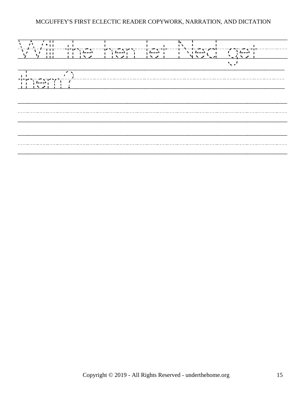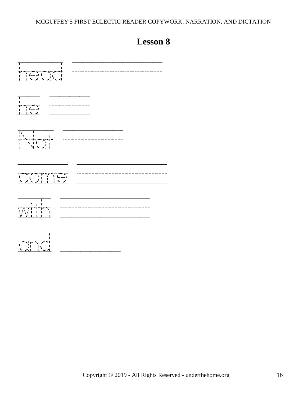<span id="page-15-0"></span>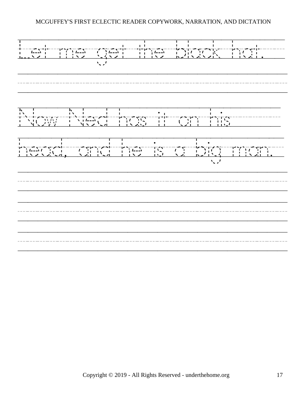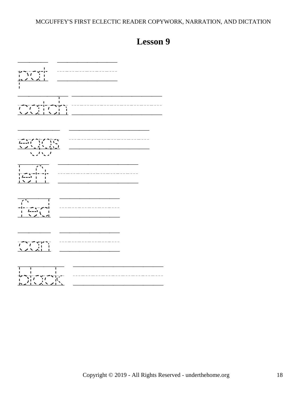# <span id="page-17-0"></span>pat //////  $\frac{1}{2}$ eggs //////// left //////// fed ////// can ////// black /////////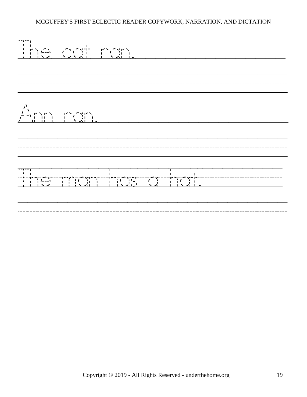| THE REAL PROPERTY OF PERSONAL PROPERTY OF PERSONAL PROPERTY OF PERSONAL PROPERTY OF PERSONAL PROPERTY OF PERSONAL PROPERTY OF PERSONAL PROPERTY OF PERSONAL PROPERTY OF PERSONAL PROPERTY OF PERSONAL PROPERTY OF PERSONAL PRO |
|--------------------------------------------------------------------------------------------------------------------------------------------------------------------------------------------------------------------------------|
|                                                                                                                                                                                                                                |
|                                                                                                                                                                                                                                |
|                                                                                                                                                                                                                                |
|                                                                                                                                                                                                                                |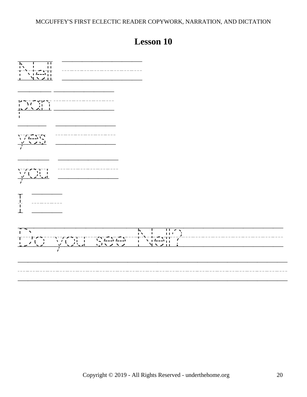<span id="page-19-0"></span>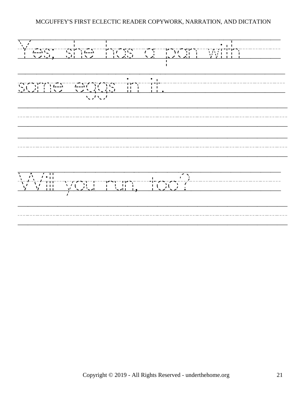$Y_{s}$ <br>/  $f = 2\sqrt{2}$ <br>/  $f = 3$ <br>/  $f = 3$ <br>/  $f = 3$ <br>/  $f = 3$ <br>/  $f = 1$ <br>/  $f = 1$ <br>/  $f = 1$ <br>/  $f = 1$ <br>/  $f = 1$ <br>/  $f = 1$ <br>/  $f = 1$ <br>/  $f = 1$ <br>/  $f = 1$ <br>/  $f = 1$ <br>/  $f = 1$ <br>/  $f = 1$ <br>/  $f = 1$ <br>/  $f = 1$ <br>/  $f = 1$ <br>/  $f = 1$ <br><br>/  $f = 1$ <br><br><br><br><br><br><br><br><br><br><br> some/eggs/in/it.//////////// /////////////////////////// ///////////////////////////  $\frac{1}{\sqrt{2}}$   $\frac{1}{\sqrt{2}}$   $\frac{1}{\sqrt{2}}$   $\frac{1}{\sqrt{2}}$   $\frac{1}{\sqrt{2}}$   $\frac{1}{\sqrt{2}}$   $\frac{1}{\sqrt{2}}$   $\frac{1}{\sqrt{2}}$   $\frac{1}{\sqrt{2}}$   $\frac{1}{\sqrt{2}}$   $\frac{1}{\sqrt{2}}$   $\frac{1}{\sqrt{2}}$   $\frac{1}{\sqrt{2}}$   $\frac{1}{\sqrt{2}}$   $\frac{1}{\sqrt{2}}$   $\frac{1}{\sqrt{2}}$   $\frac{1}{\sqrt{2}}$  ///////////////////////////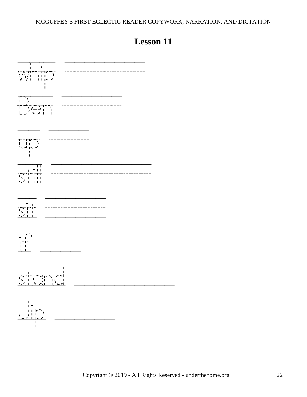<span id="page-21-0"></span>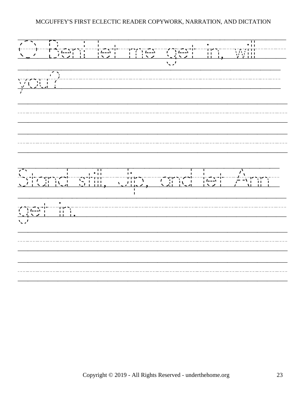O/Ben!/let/me/get/in,/will///  $\frac{1}{\sqrt{2}}$ /////////////////////////// /////////////////////////// Stand/still,/Jip,/and/let/Ann/ get/in.///////////////////// /////////////////////////// ///////////////////////////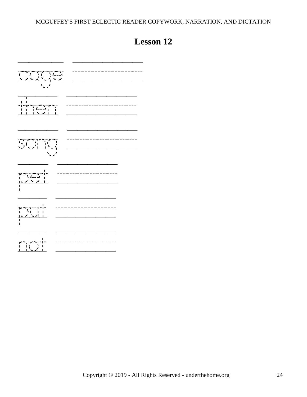## **Lesson 12**

<span id="page-23-0"></span>

| $\frac{1}{1}$ $\frac{1}{1}$ $\frac{1}{1}$ $\frac{1}{1}$ $\frac{1}{1}$ $\frac{1}{1}$ $\frac{1}{1}$ $\frac{1}{1}$<br>$\mathcal{L}$ |  |
|----------------------------------------------------------------------------------------------------------------------------------|--|
| Т                                                                                                                                |  |
|                                                                                                                                  |  |
| $\begin{array}{c} 1 & 1 \\ 1 & 1 \end{array}$<br>1.2221                                                                          |  |
| п                                                                                                                                |  |
|                                                                                                                                  |  |

 $\overline{a}$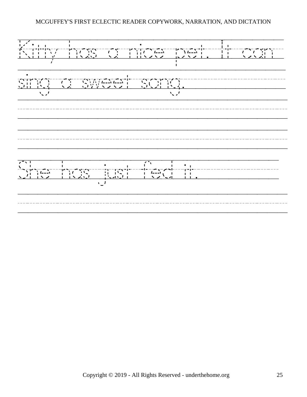Kitty/has/a/nice/pet./It/can/ sing/a/sweet/song.////////// /////////////////////////// /////////////////////////// She/has/just/fed/it.//////// ///////////////////////////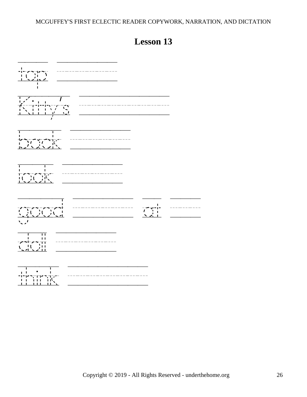<span id="page-25-0"></span>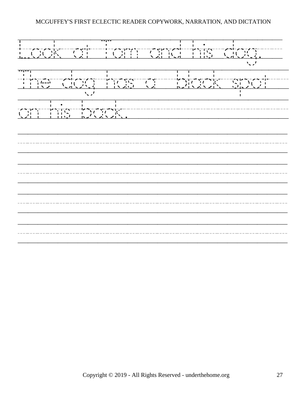Look/at/Tom/and/his/dog.// The/dog/has/a//black/spot// on/his/back.//////////////// /////////////////////////// /////////////////////////// /////////////////////////// ///////////////////////////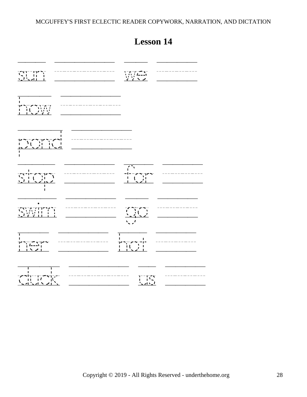<span id="page-27-0"></span>

|                                                                                                                                                                                                                                                                                                                                                                                                                                                                                       | JUUUTI I                                                                                                      |
|---------------------------------------------------------------------------------------------------------------------------------------------------------------------------------------------------------------------------------------------------------------------------------------------------------------------------------------------------------------------------------------------------------------------------------------------------------------------------------------|---------------------------------------------------------------------------------------------------------------|
| $\begin{array}{c} \sqrt{11} = 11^6 \sqrt{11} \\ \sqrt{11} = 11^6 \sqrt{11} \\ \sqrt{11} = 11^6 \sqrt{11} \\ \sqrt{11} = 11^6 \sqrt{11} \end{array}$                                                                                                                                                                                                                                                                                                                                   | $\begin{array}{c}\n\sqrt{1-x^2} \\ \sqrt{1-x^2} \\ \sqrt{1-x^2} \\ \sqrt{1-x^2} \\ \sqrt{1-x^2}\n\end{array}$ |
|                                                                                                                                                                                                                                                                                                                                                                                                                                                                                       |                                                                                                               |
| $\overline{\mathcal{A}}$                                                                                                                                                                                                                                                                                                                                                                                                                                                              |                                                                                                               |
| $\begin{array}{c} \overline{\phantom{a}} \\ \overline{\phantom{a}} \\ \phantom{a} \end{array}$<br>$\sum_{i=1}^{n} \frac{1}{i} \left( \frac{1}{i} \right)^{i} \left( \frac{1}{i} \right)^{i}$                                                                                                                                                                                                                                                                                          | $\frac{1}{\sqrt{2}}$                                                                                          |
| $\begin{array}{l} \displaystyle \sqrt{ \frac{1}{2} \left( \frac{1}{2} \right) \left( \frac{1}{2} \right) \left( \frac{1}{2} \right) \left( \frac{1}{2} \right) \left( \frac{1}{2} \right) \left( \frac{1}{2} \right) \left( \frac{1}{2} \right) \left( \frac{1}{2} \right) \left( \frac{1}{2} \right) \left( \frac{1}{2} \right) \left( \frac{1}{2} \right) \left( \frac{1}{2} \right) \left( \frac{1}{2} \right) \left( \frac{1}{2} \right) \left( \frac{1}{2} \right) \left( \frac$ | $\frac{1}{\sqrt{2}}$                                                                                          |
| ___________<br>----------<br>$\begin{array}{c}\n\begin{array}{c}\n\cdot & \cdot & \cdot \\ \cdot & \cdot & \cdot \\ \cdot & \cdot & \cdot\n\end{array} \\ \hline\n\end{array}$                                                                                                                                                                                                                                                                                                        |                                                                                                               |
| J.<br>$\frac{1}{2}$                                                                                                                                                                                                                                                                                                                                                                                                                                                                   | T TV                                                                                                          |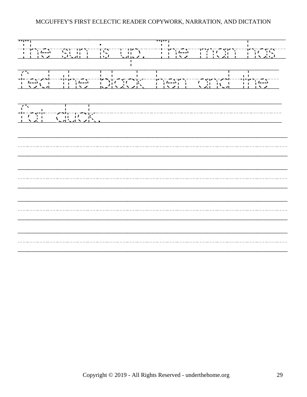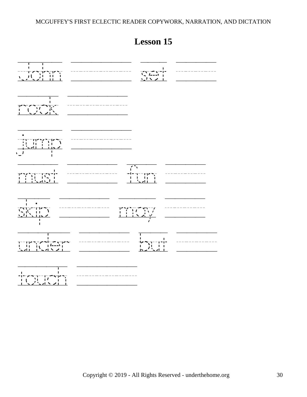<span id="page-29-0"></span>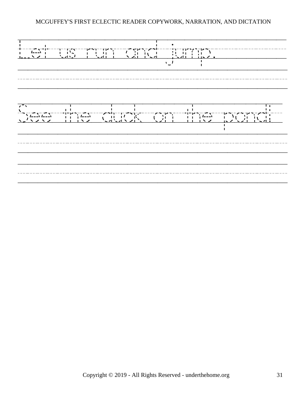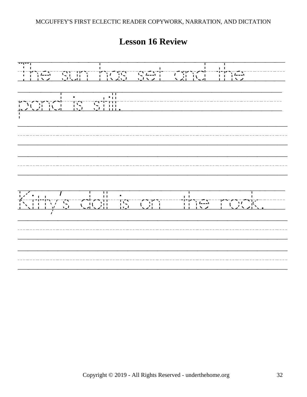**Lesson 16 Review**

<span id="page-31-0"></span> $\frac{1}{1}$ <br>The  $\frac{1}{1}$   $\frac{1}{1}$   $\frac{1}{1}$   $\frac{1}{1}$   $\frac{1}{1}$   $\frac{1}{1}$   $\frac{1}{1}$   $\frac{1}{1}$   $\frac{1}{1}$   $\frac{1}{1}$   $\frac{1}{1}$   $\frac{1}{1}$   $\frac{1}{1}$   $\frac{1}{1}$   $\frac{1}{1}$   $\frac{1}{1}$   $\frac{1}{1}$   $\frac{1}{1}$   $\frac{1}{1}$   $\frac{1}{1}$   $\frac{1}{1$ pond/is/still.//////////////// /////////////////////////// /////////////////////////// Kitty's/doll/is/on//the/rock.// /////////////////////////// ///////////////////////////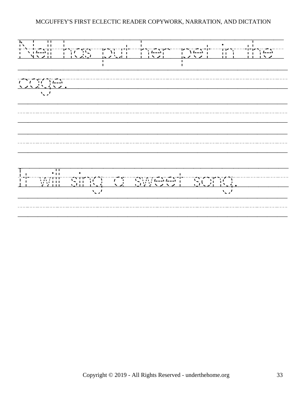Nell/has/put/her/pet/in/the/ cage.////////////////////// /////////////////////////// /////////////////////////// It/will/sing/a/sweet/song.///// ///////////////////////////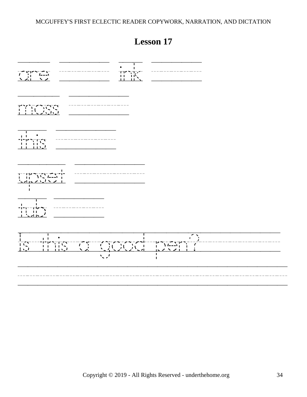<span id="page-33-0"></span>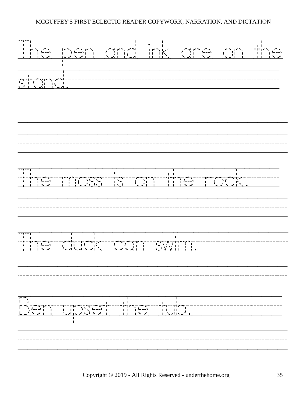The/pen/and/ink/are/on/the stand.///////////////////// /////////////////////////// /////////////////////////// The/moss/is/on/the/rock./// /////////////////////////// The/duck/can/swim.///////// /////////////////////////// Ben/upset/the/tub.///////// ///////////////////////////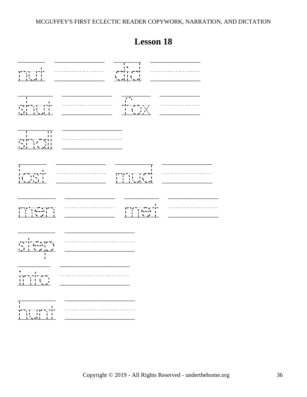<span id="page-35-0"></span>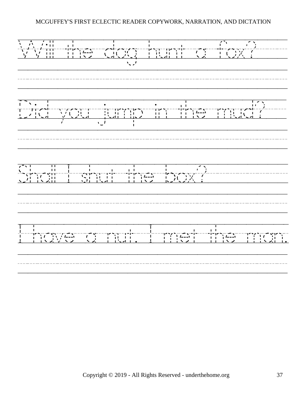$\frac{1}{\sqrt{2}}$   $\frac{1}{\sqrt{2}}$   $\frac{1}{\sqrt{2}}$   $\frac{1}{\sqrt{2}}$   $\frac{1}{\sqrt{2}}$   $\frac{1}{\sqrt{2}}$   $\frac{1}{\sqrt{2}}$   $\frac{1}{\sqrt{2}}$   $\frac{1}{\sqrt{2}}$   $\frac{1}{\sqrt{2}}$   $\frac{1}{\sqrt{2}}$   $\frac{1}{\sqrt{2}}$   $\frac{1}{\sqrt{2}}$   $\frac{1}{\sqrt{2}}$   $\frac{1}{\sqrt{2}}$   $\frac{1}{\sqrt{2}}$   $\frac{1}{\sqrt{2}}$  /////////////////////////// Did/you/jump/in/the/mud?// ///////////////////////////  $\begin{pmatrix} 1 & 1 & 1 \\ 1 & 1 & 1 \\ 1 & 1 & 1 \end{pmatrix}$ /////////////////////////// I/have/a/nut./I/met/the/man. ///////////////////////////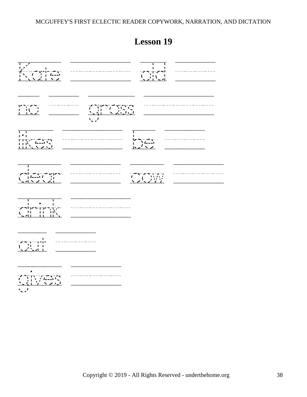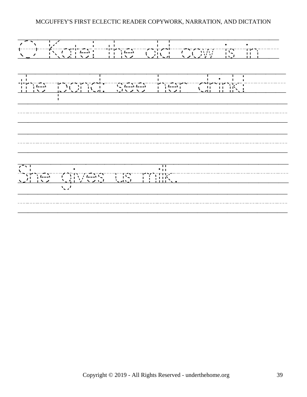O/Kate!/the/old/cow/is/in// the/pond:/see/her/drink!//// /////////////////////////// /////////////////////////// She/gives/us/milk./////////// ///////////////////////////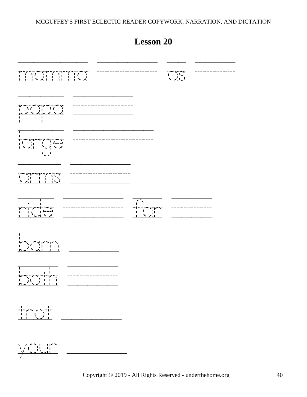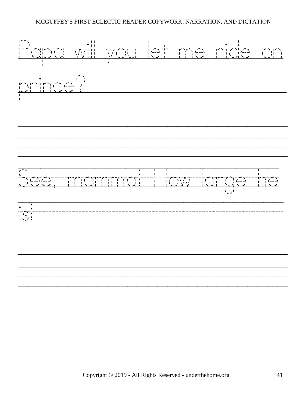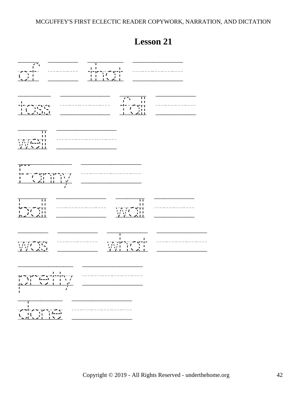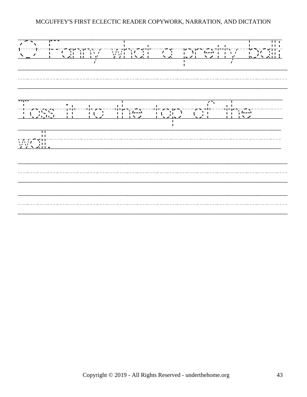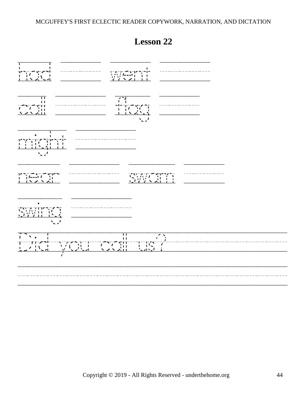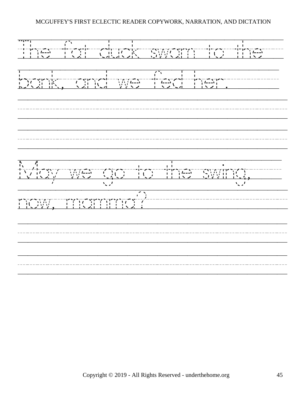The/fat/duck/swam/to/the// bank,/and/we/fed/her.///// /////////////////////////// /////////////////////////// May/we/go/to/the/swing,///  $\begin{pmatrix} 1 & 0 & 0 \\ 0 & 0 & 0 \\ 0 & 0 & 0 \\ 0 & 0 & 0 \\ 0 & 0 & 0 \\ 0 & 0 & 0 & 0 \\ 0 & 0 & 0 & 0 \\ 0 & 0 & 0 & 0 \\ 0 & 0 & 0 & 0 \\ 0 & 0 & 0 & 0 \\ 0 & 0 & 0 & 0 \\ 0 & 0 & 0 & 0 \\ 0 & 0 & 0 & 0 \\ 0 & 0 & 0 & 0 \\ 0 & 0 & 0 & 0 \\ 0 & 0 & 0 & 0 \\ 0 & 0 & 0 & 0 \\ 0 & 0 & 0 & 0 \\ 0 & 0 & 0 & 0 \\$ /////////////////////////// ///////////////////////////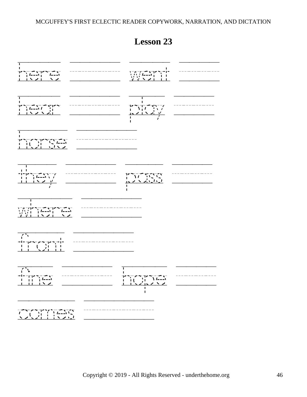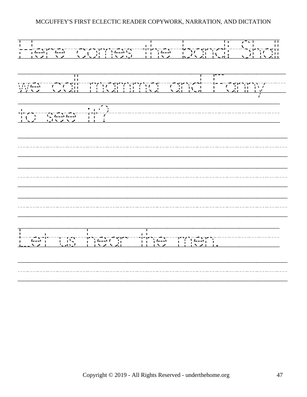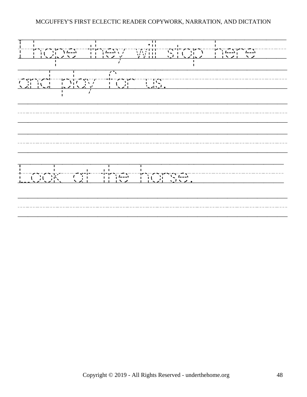I/hope/they/will/stop/here/// and/play/for/us.//////////// /////////////////////////// /////////////////////////// Look/at/the/horse.///////// ///////////////////////////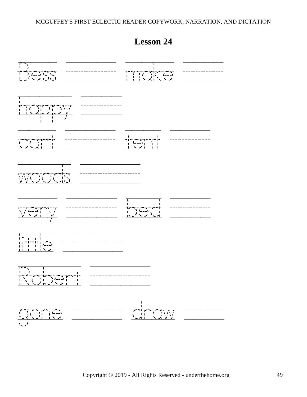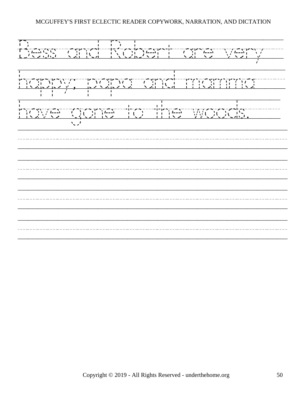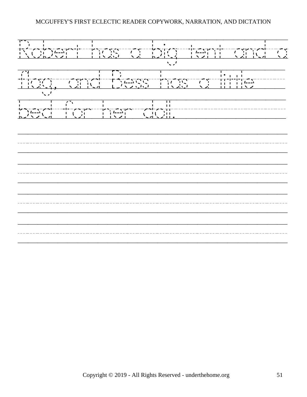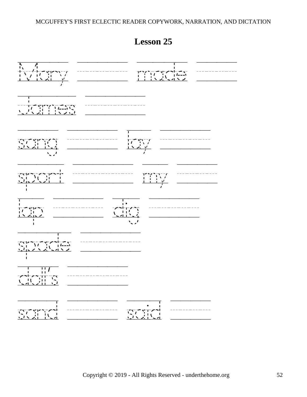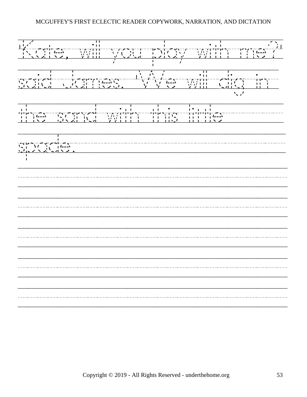'Kate, will be a set of the set of the set of the set of the set of the set of the set of the set of the set of the set of the set of the set of the set of the set of the set of the set of the set of the set of the set of said/James./'We/will/dig/in/ the/sand/with/this/little//////  $s = \frac{1}{2}$ <br> $s = \frac{1}{2}$ <br> $s = \frac{1}{2}$ <br> $s = \frac{1}{2}$ <br> $s = \frac{1}{2}$ <br> $s = \frac{1}{2}$ <br> $s = \frac{1}{2}$ /////////////////////////// /////////////////////////// /////////////////////////// /////////////////////////// ///////////////////////////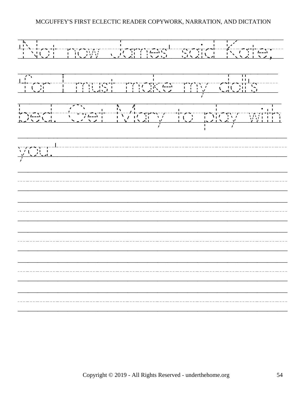'Not/now/James'/said/Kate;/ 'for/I/must/make/my/doll's// bed./Get/Mary/to/play/with you.'/////////////////////// /////////////////////////// /////////////////////////// /////////////////////////// /////////////////////////// ///////////////////////////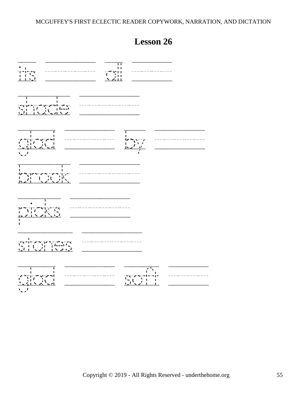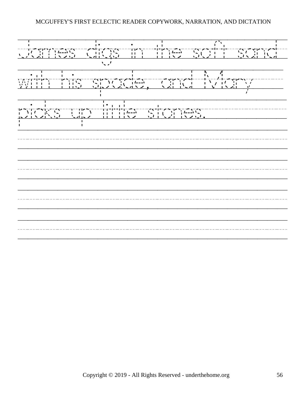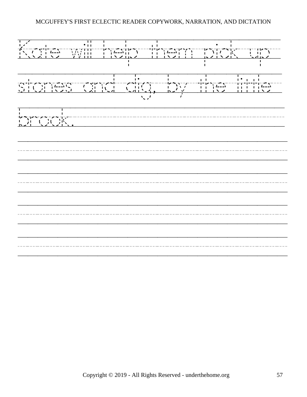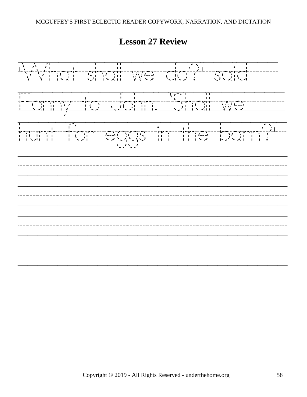'What/shall/we/do?'/said///  $\frac{1}{1}$  =  $\frac{1}{2}$  +  $\frac{1}{2}$  +  $\frac{1}{2}$  +  $\frac{1}{2}$  +  $\frac{1}{2}$  +  $\frac{1}{2}$  +  $\frac{1}{2}$  +  $\frac{1}{2}$  +  $\frac{1}{2}$  +  $\frac{1}{2}$  +  $\frac{1}{2}$  +  $\frac{1}{2}$  +  $\frac{1}{2}$  +  $\frac{1}{2}$  +  $\frac{1}{2}$  +  $\frac{1}{2}$  +  $\frac{1}{2}$  +  $\frac{1$ hunt/for/eggs/in/the/barn?'/ /////////////////////////// /////////////////////////// /////////////////////////// ///////////////////////////

**Lesson 27 Review**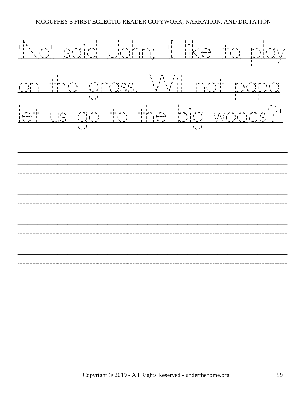'No'/said/John;/'I/like/to/play on/the/grass./Will/not/papa let/us/go/to/the/big/woods?' /////////////////////////// /////////////////////////// /////////////////////////// /////////////////////////// ///////////////////////////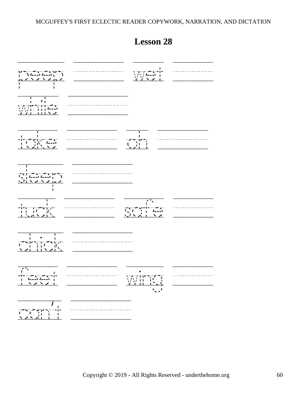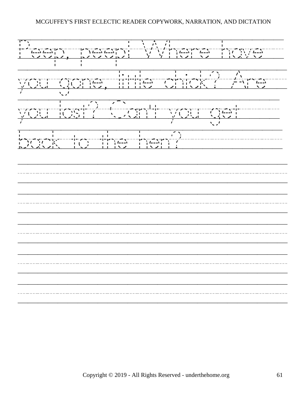Peep,/peep!/Where/have//  $\frac{1}{\sqrt{2}}$  (are  $\frac{1}{\sqrt{2}}$  ) and  $\frac{1}{\sqrt{2}}$  (b) and  $\frac{1}{\sqrt{2}}$  (c)  $\frac{1}{\sqrt{2}}$  (c)  $\frac{1}{\sqrt{2}}$  (c)  $\frac{1}{\sqrt{2}}$  (c)  $\frac{1}{\sqrt{2}}$  (c)  $\frac{1}{\sqrt{2}}$  (c)  $\frac{1}{\sqrt{2}}$  (c)  $\frac{1}{\sqrt{2}}$  (c)  $\frac{1}{\sqrt{2}}$  (c)  $\frac{1}{\sqrt{2$  $\frac{1}{\sqrt{2\pi}}$  $\begin{bmatrix} 1 & 1 & 1 \\ 1 & 1 & 1 \\ 1 & 1 & 1 \end{bmatrix}$ /////////////////////////// /////////////////////////// /////////////////////////// /////////////////////////// ///////////////////////////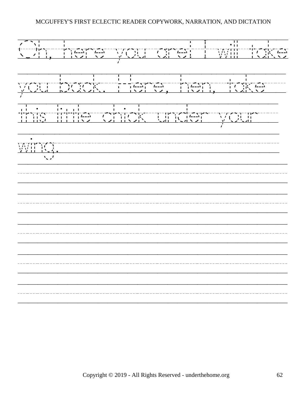Oh,/here/you/are!/I/will/take  $\frac{1}{\sqrt{2\pi}}$ <br> $\frac{1}{\sqrt{2\pi}}$  ,  $\frac{1}{\sqrt{2\pi}}$  ,  $\frac{1}{\sqrt{2\pi}}$  ,  $\frac{1}{\sqrt{2\pi}}$  ,  $\frac{1}{\sqrt{2\pi}}$  ,  $\frac{1}{\sqrt{2\pi}}$  ,  $\frac{1}{\sqrt{2\pi}}$  ,  $\frac{1}{\sqrt{2\pi}}$  ,  $\frac{1}{\sqrt{2\pi}}$  ,  $\frac{1}{\sqrt{2\pi}}$  ,  $\frac{1}{\sqrt{2\pi}}$  ,  $\frac{1}{\sqrt{2\pi}}$  ,  $\$ this/little/chick/under/your// wing. <br>
wing. <br>
Windows and the set of the set of the set of the set of the set of the set of the set of the set of the set o<br>
Windows and the set of the set of the set of the set of the set of the set of the set of the s /////////////////////////// /////////////////////////// /////////////////////////// /////////////////////////// ///////////////////////////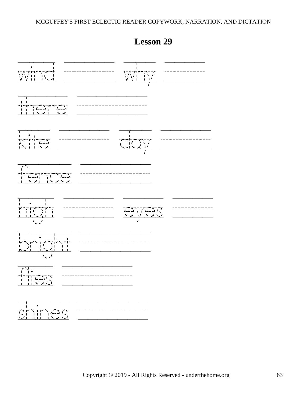

Copyright © 2019 - All Rights Reserved - underthehome.org 63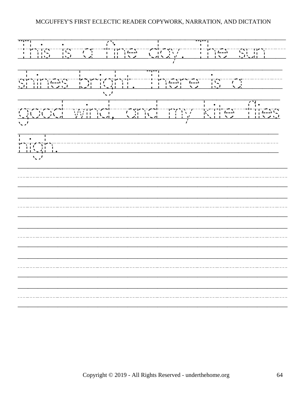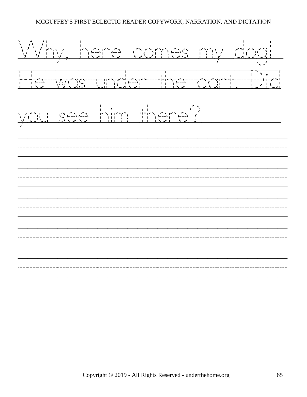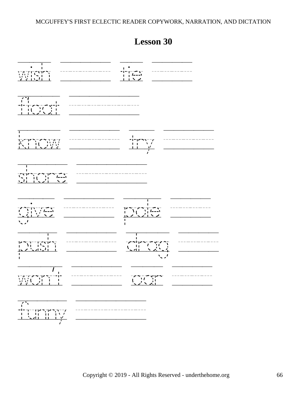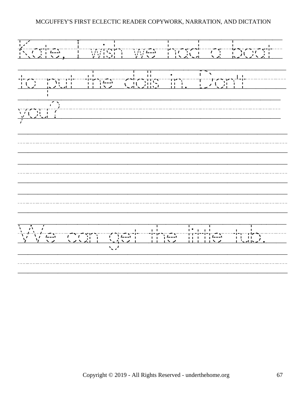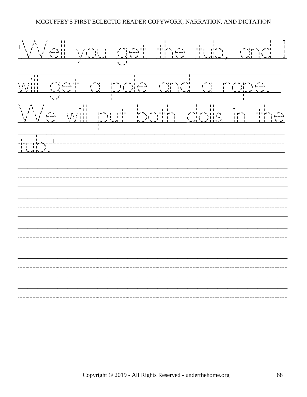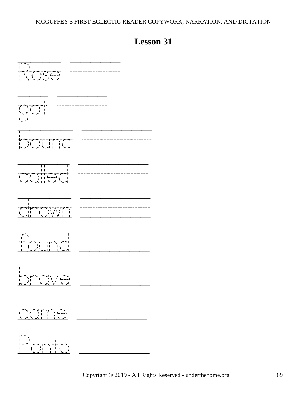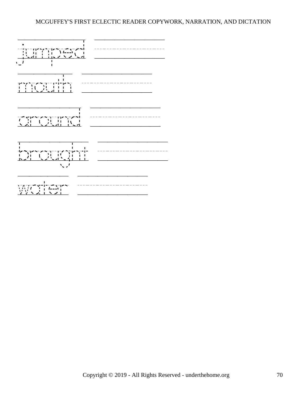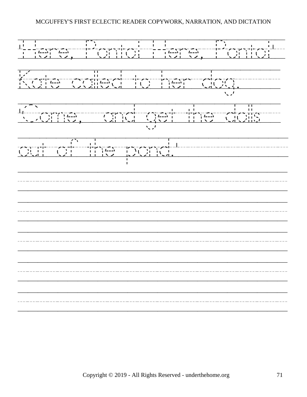'Here,/Ponto!/Here,/Ponto!'/ Kate/called/to/her/dog.//// 'Come,//and/get/the/dolls// out/of/the/pond.'/////////// /////////////////////////// /////////////////////////// /////////////////////////// /////////////////////////// ///////////////////////////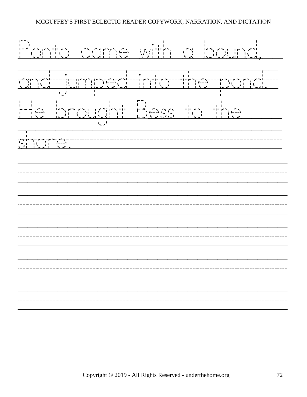Ponto/came/with/a/bound,// and/jumped/into/the/pond./  $\frac{1}{2}$   $\frac{1}{2}$   $\frac{1}{2}$   $\frac{1}{2}$   $\frac{1}{2}$   $\frac{1}{2}$   $\frac{1}{2}$   $\frac{1}{2}$   $\frac{1}{2}$   $\frac{1}{2}$   $\frac{1}{2}$   $\frac{1}{2}$   $\frac{1}{2}$   $\frac{1}{2}$   $\frac{1}{2}$   $\frac{1}{2}$   $\frac{1}{2}$   $\frac{1}{2}$   $\frac{1}{2}$   $\frac{1}{2}$   $\frac{1}{2}$   $\frac{1}{2}$  shore.///////////////////// /////////////////////////// /////////////////////////// /////////////////////////// /////////////////////////// ///////////////////////////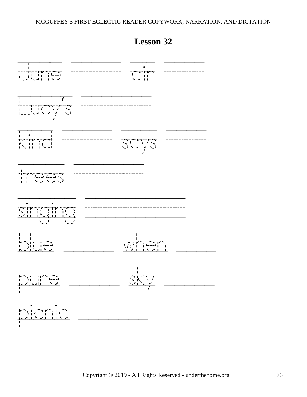

# **Lesson 32**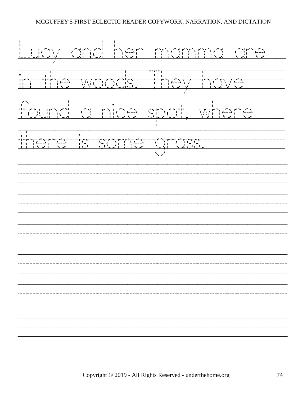Lucy/and/her/mamma/are// in/the/woods./They/have////  $f(x) = \frac{1}{(x-1)^2 - 1}$ <br> $f(x) = \frac{1}{(x-1)^2 - 1}$ <br> $f(x) = \frac{1}{(x-1)^2 - 1}$ <br> $f(x) = \frac{1}{(x-1)^2 - 1}$ <br> $f(x) = \frac{1}{(x-1)^2 - 1}$ <br> $f(x) = \frac{1}{(x-1)^2 - 1}$ <br> $f(x) = \frac{1}{(x-1)^2 - 1}$ <br> $f(x) = \frac{1}{(x-1)^2 - 1}$ <br> $f(x) = \frac{1}{(x-1)^2 - 1}$ <br> $f(x) = \frac{1}{(x-1)^2 - 1}$ there/is/some/grass.//////// /////////////////////////// /////////////////////////// /////////////////////////// /////////////////////////// /////////////////////////// ///////////////////////////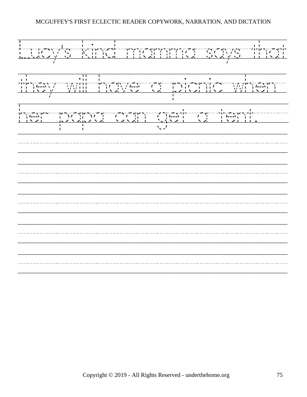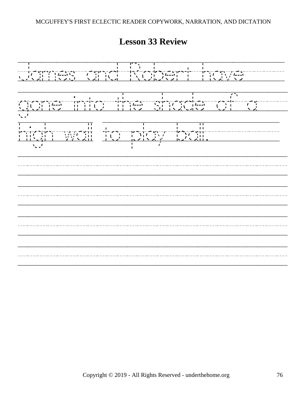James/and/Robert/have////  $\frac{1}{2}$ <br> $\frac{1}{2}$ <br> $\frac{1}{2}$ <br> $\frac{1}{2}$ <br> $\frac{1}{2}$ <br> $\frac{1}{2}$ <br> $\frac{1}{2}$ <br> $\frac{1}{2}$ <br> $\frac{1}{2}$ <br> $\frac{1}{2}$ <br> $\frac{1}{2}$ <br> $\frac{1}{2}$ <br> $\frac{1}{2}$ <br> $\frac{1}{2}$ <br> $\frac{1}{2}$ <br> $\frac{1}{2}$ <br> $\frac{1}{2}$ <br> $\frac{1}{2}$ <br> $\frac{1}{2}$ <br> $\frac{1}{2}$ <br> $\frac{1}{2}$ <br> $\frac{1}{2}$ <br>high/wall to/play/ball./////// /////////////////////////// /////////////////////////// /////////////////////////// ///////////////////////////

**Lesson 33 Review**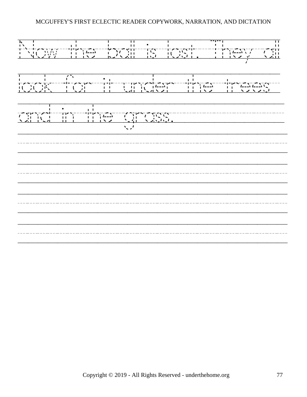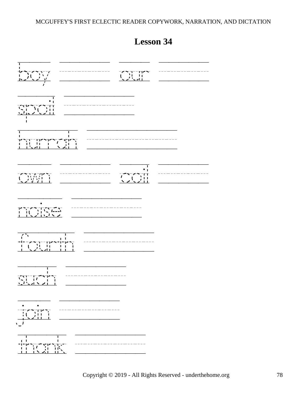| п<br>—————————<br>——————————<br>$\frac{\sum_{i=1}^{n} \sum_{j=1}^{n} \lambda_{i}^{j}}{\lambda_{i}^{j}}$                                                                                                                                                                                                                                                        | $\begin{array}{c} -7 - 1 = 177 - 177 \\ -1 = 11 \\ -1 = 11 \end{array}$ |  |
|----------------------------------------------------------------------------------------------------------------------------------------------------------------------------------------------------------------------------------------------------------------------------------------------------------------------------------------------------------------|-------------------------------------------------------------------------|--|
| $\overline{\cdot}$                                                                                                                                                                                                                                                                                                                                             |                                                                         |  |
| I.<br>╶╎╸┥╟╷╶╿╷╶╿<br>╶╷╿╷╶╿╷╶╷╷╷╹╹╷┆╿╷╷╿<br>╶╿╷┙┥╿╌╷╿╌╷╲╺╱╿                                                                                                                                                                                                                                                                                                    |                                                                         |  |
| ---------------<br>-<br>$\begin{array}{c}\n\sqrt{1-x} & -1 \\ \sqrt{1-x} & -1\n\end{array}$                                                                                                                                                                                                                                                                    |                                                                         |  |
|                                                                                                                                                                                                                                                                                                                                                                |                                                                         |  |
| J,<br>$\mathbf{v}$<br>$\sim 100$<br>╾┦╾╶┲╼┱╌╌┰┰┻╼╿╾╢╾╶┞<br>╶╿╴╿╿╵╷╿╿╷╷╿╿╷┆╿                                                                                                                                                                                                                                                                                    |                                                                         |  |
| п<br>ı<br>$\begin{array}{c} \begin{array}{c} \overline{1,1}\\ 1,1\end{array} & \begin{array}{c} \overline{1,1}\\ 1,1\end{array} & \begin{array}{c} \overline{1,1}\\ 1,1\end{array} \\ \begin{array}{c} \overline{1,1}\\ 1,1\end{array} & \begin{array}{c} \overline{1,1}\\ 1,1\end{array} & \begin{array}{c} \overline{1,1}\\ 1,1\end{array} \end{array}$<br>Ì |                                                                         |  |
| $\begin{picture}(120,115) \put(0,0){\line(1,0){15}} \put(15,0){\line(1,0){15}} \put(15,0){\line(1,0){15}} \put(15,0){\line(1,0){15}} \put(15,0){\line(1,0){15}} \put(15,0){\line(1,0){15}} \put(15,0){\line(1,0){15}} \put(15,0){\line(1,0){15}} \put(15,0){\line(1,0){15}} \put(15,0){\line(1,0){15}} \put(15,0){\line(1,0){15}} \put(15,0){\line$            |                                                                         |  |
| $\frac{1}{2}$<br>TK<br>IK                                                                                                                                                                                                                                                                                                                                      |                                                                         |  |

# **Lesson 34**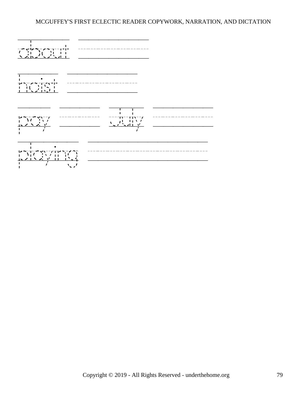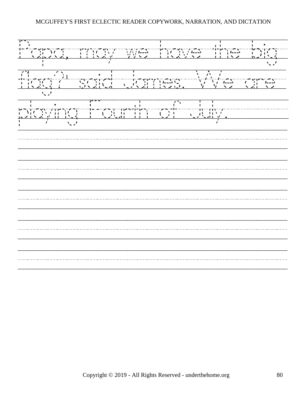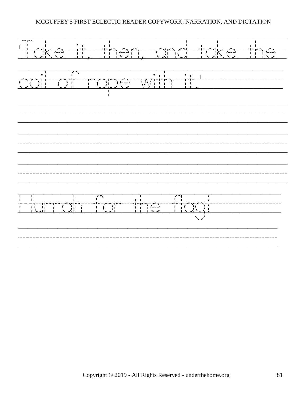'Take, and the state of the state of the state of the state of the state of the state of the state of the state of the state of the state of the state of the state of the state of the state of the state of the state of the coil/of/rope/with/it.'//////// /////////////////////////// /////////////////////////// /////////////////////////// Hurrah/for/the/flag!/////// //////////////////////////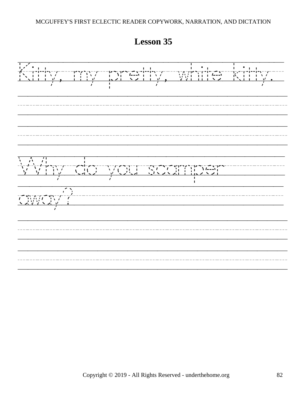Kitty,/my/pretty,/white/kitty./ /////////////////////////// ///////////////////////////  $\frac{1}{\sqrt{2}}$  ,  $\frac{1}{\sqrt{2}}$  ,  $\frac{1}{\sqrt{2}}$  ,  $\frac{1}{\sqrt{2}}$  ,  $\frac{1}{\sqrt{2}}$  ,  $\frac{1}{\sqrt{2}}$  ,  $\frac{1}{\sqrt{2}}$  ,  $\frac{1}{\sqrt{2}}$  ,  $\frac{1}{\sqrt{2}}$  ,  $\frac{1}{\sqrt{2}}$  ,  $\frac{1}{\sqrt{2}}$  ,  $\frac{1}{\sqrt{2}}$  ,  $\frac{1}{\sqrt{2}}$  ,  $\frac{1}{\sqrt{2}}$  ,  $\frac{1}{\sqrt{2}}$ away?///////////////////// /////////////////////////// ///////////////////////////

**Lesson 35**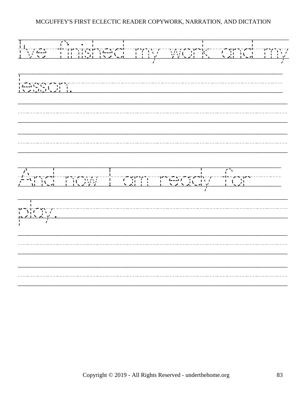I've/finished/my/work/and/my lesson.///////////////////// /////////////////////////// /////////////////////////// And/now/I/am/ready/for/// play./////////////////////// /////////////////////////// ///////////////////////////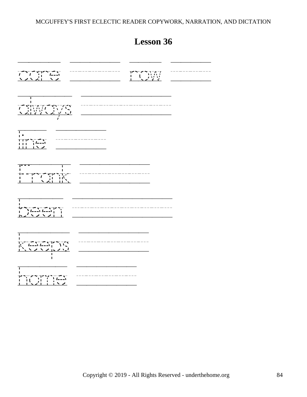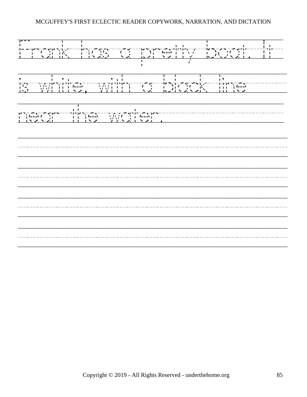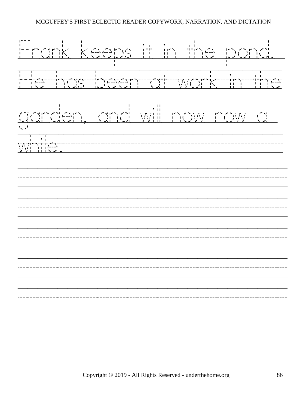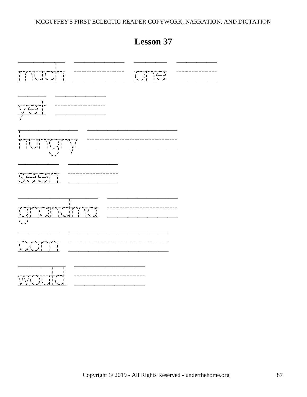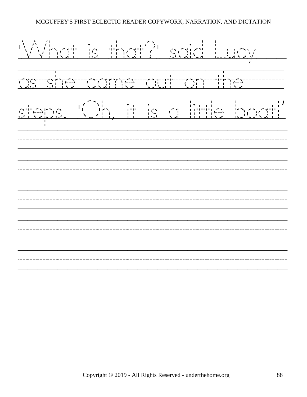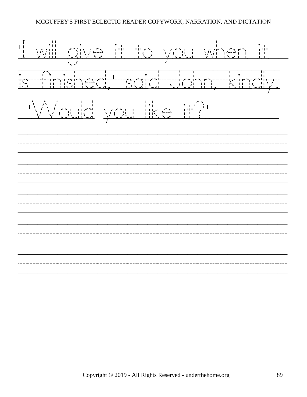'I/will/give/it/to/you/when/it// is/finished,'/said/John,/kindly. /'Would you/like/it?'/////// /////////////////////////// /////////////////////////// /////////////////////////// /////////////////////////// ///////////////////////////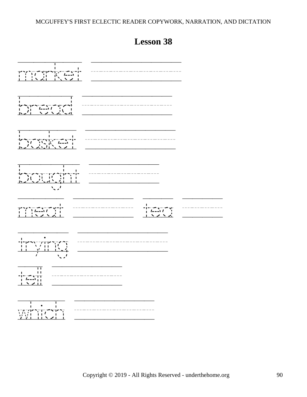

# **Lesson 38**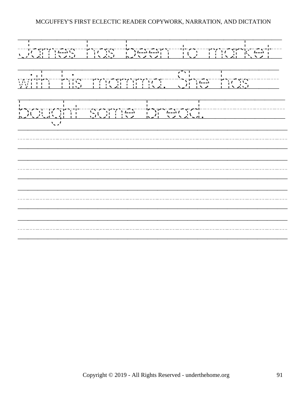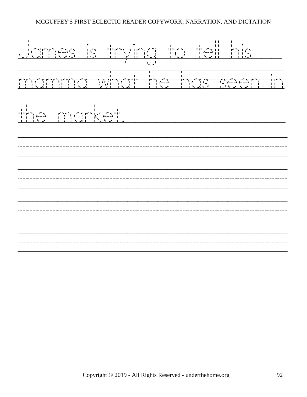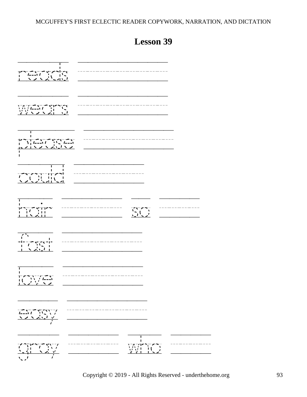| $\blacksquare$<br>J.<br>$\begin{array}{c} \begin{array}{c} \uparrow \\ \downarrow \\ \downarrow \end{array} \end{array} \begin{array}{c} \begin{array}{c} \uparrow \\ \downarrow \\ \downarrow \end{array} \end{array} \begin{array}{c} \begin{array}{c} \uparrow \\ \downarrow \\ \downarrow \end{array} \end{array} \begin{array}{c} \begin{array}{c} \uparrow \\ \downarrow \\ \downarrow \end{array} \end{array} \begin{array}{c} \begin{array}{c} \uparrow \\ \downarrow \\ \downarrow \end{array} \end{array} \end{array} \begin{array}{c} \begin{array}{c} \downarrow \\ \downarrow \\ \downarrow \end{array} \end{array} \begin{array}{$ |                                                |
|--------------------------------------------------------------------------------------------------------------------------------------------------------------------------------------------------------------------------------------------------------------------------------------------------------------------------------------------------------------------------------------------------------------------------------------------------------------------------------------------------------------------------------------------------------------------------------------------------------------------------------------------------|------------------------------------------------|
| п.<br>Т.<br>┆<br>╟┷┱┉╓╌╓┲┯┯┲<br>╟┈┦╟┈╫┈╿┈╿┈                                                                                                                                                                                                                                                                                                                                                                                                                                                                                                                                                                                                      |                                                |
| т<br>$\ddot{\bullet}$<br>╦╙╟┪╾╾<br>╎╎╿╿<br>$\sum_{i=1}^{n}$                                                                                                                                                                                                                                                                                                                                                                                                                                                                                                                                                                                      | $\sum_{i=1}^{n} \binom{n}{i}$                  |
| $\sqrt{2}$                                                                                                                                                                                                                                                                                                                                                                                                                                                                                                                                                                                                                                       |                                                |
| J.<br>L<br>$\begin{array}{c} \begin{array}{c} \text{ }\\ \text{ }\\ \text{ }\\ \text{ }\\ \end{array} \end{array} \begin{array}{c} \begin{array}{c} \text{ }\\ \text{ }\\ \text{ }\\ \text{ }\\ \text{ }\\ \end{array} \end{array} \begin{array}{c} \begin{array}{c} \text{ }\\ \text{ }\\ \text{ }\\ \text{ }\\ \text{ }\\ \end{array} \end{array}$<br>$\overline{\bullet}^-$<br>$\sqrt{2}$                                                                                                                                                                                                                                                     | ---------                                      |
|                                                                                                                                                                                                                                                                                                                                                                                                                                                                                                                                                                                                                                                  |                                                |
|                                                                                                                                                                                                                                                                                                                                                                                                                                                                                                                                                                                                                                                  | J.<br>ı<br>175717<br>MAJ 1<br>$\sum_{i=1}^{n}$ |

# **Lesson 39**

Copyright © 2019 - All Rights Reserved - underthehome.org 93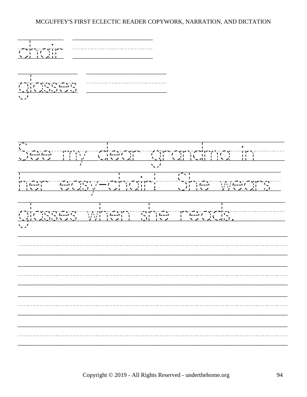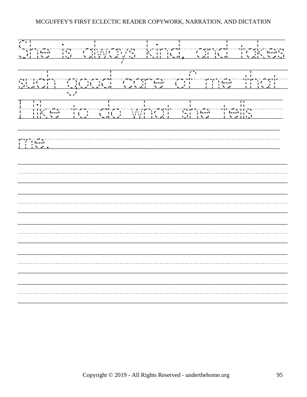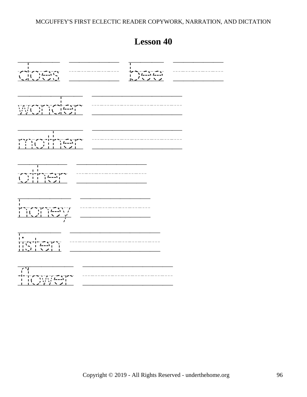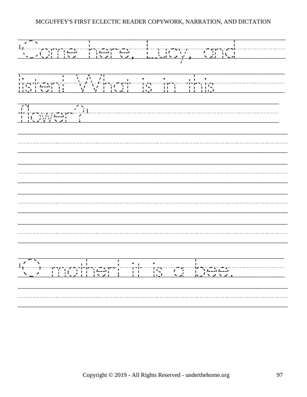'Come/here,/Lucy,/and///// listen!/What/is/in/this///////  $f(x)$ <br>  $f(x)$ <br>  $f(x)$ <br>  $f(x)$ <br>  $f(x)$ <br>  $f(x)$ <br>  $f(x)$ <br>  $f(x)$ <br>  $f(x)$ <br>  $f(x)$ <br>  $f(x)$ <br>  $f(x)$ <br>  $f(x)$ <br>  $f(x)$ <br>  $f(x)$ <br>  $f(x)$ <br>  $f(x)$ <br>  $f(x)$ <br>  $f(x)$ <br>  $f(x)$ <br>  $f(x)$ <br>  $f(x)$ <br>  $f(x)$ <br>  $f(x)$ <br>  $f(x)$ <br>  $f(x)$ <br>  $f(x)$ <br>  $f(x)$ <br>  $f(x)$ <br>  $f(x)$ <br>  $f(x)$ <br>  $f(x)$ /////////////////////////// /////////////////////////// /////////////////////////// /////////////////////////// 'O/mother!/it/is/a/bee.///// ///////////////////////////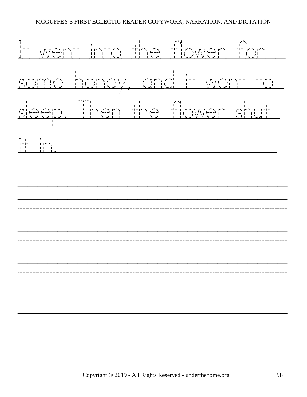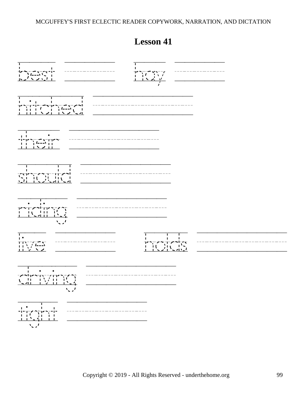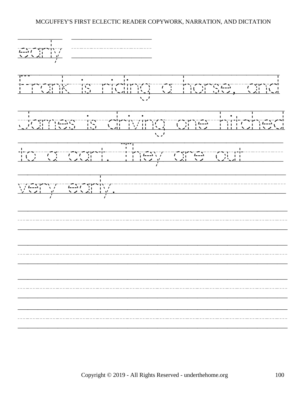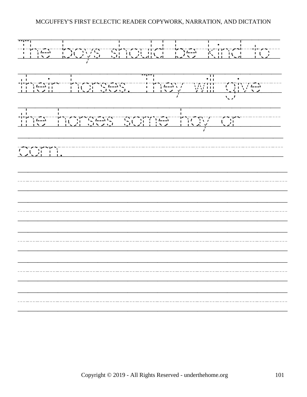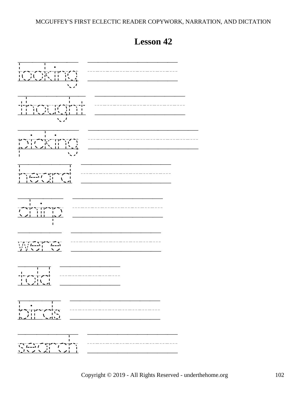

**Lesson 42**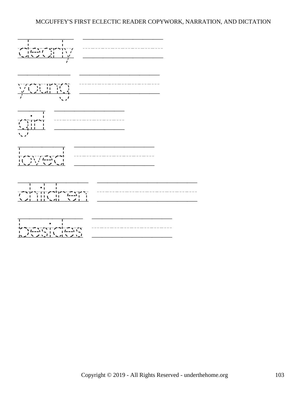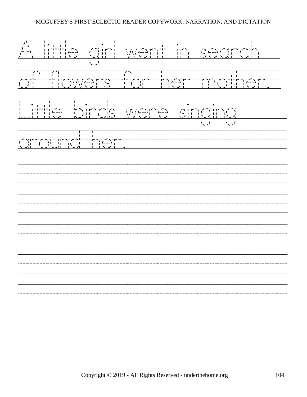A/little/girl/went/in/search// of/flowers/for/her/mother./ Little/birds/were/singing///// T around/her.//////////////// /////////////////////////// /////////////////////////// /////////////////////////// /////////////////////////// ///////////////////////////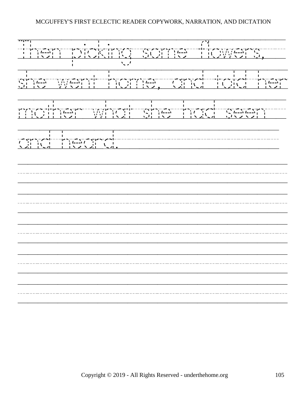Then/picking/some/flowers,// she/went/home,/and/told/her mother/what/she/had/seen// and/heard.//////////////// /////////////////////////// /////////////////////////// /////////////////////////// /////////////////////////// ///////////////////////////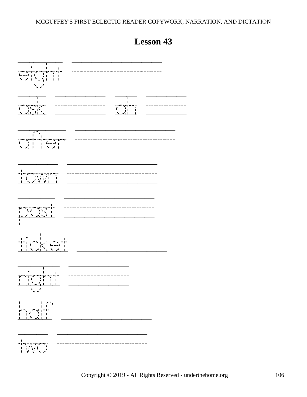

# **Lesson 43**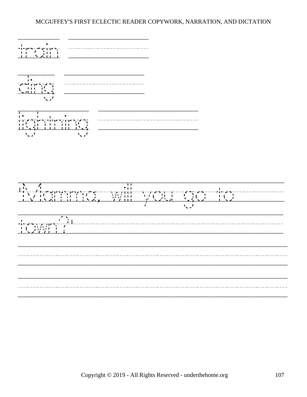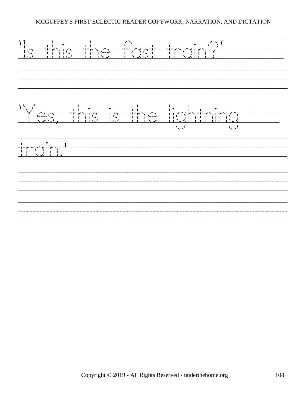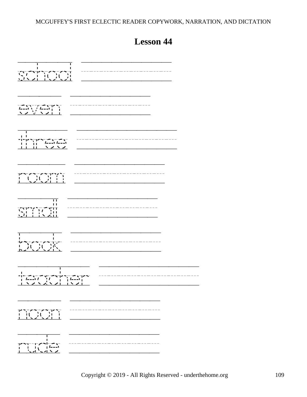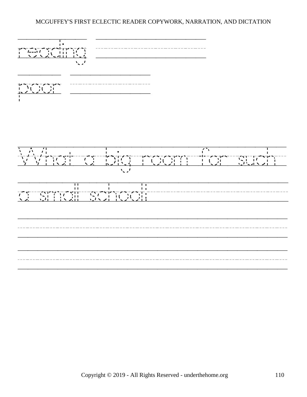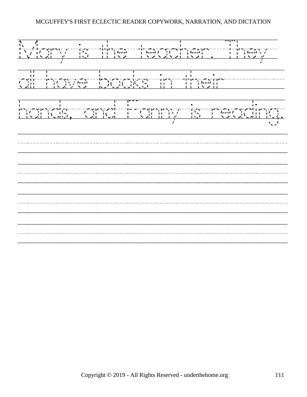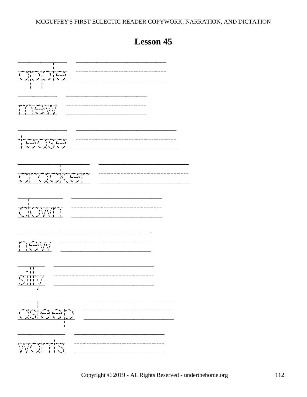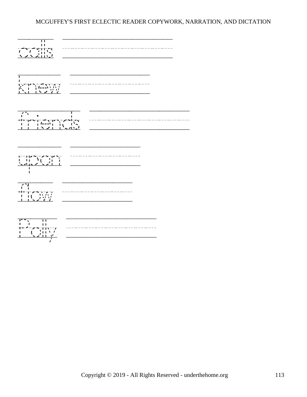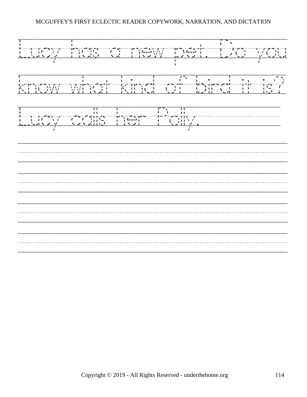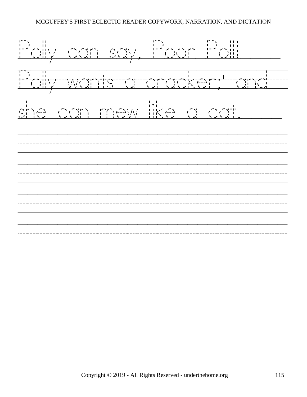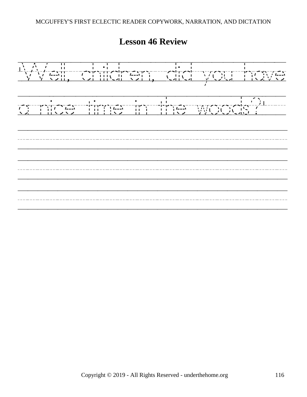# **Lesson 46 Review**

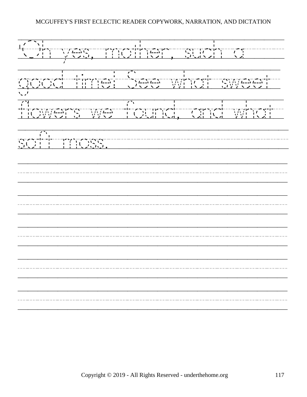'Oh/yes,/mother,/such/a//// good/time!/See/what/sweet/ flowers/we/found,/and/what/  $s^2$  ,  $s^2$  ,  $s^2$  ,  $s^2$  ,  $s^2$  ,  $s^2$  ,  $s^2$  ,  $s^2$  ,  $s^2$  ,  $s^2$  ,  $s^2$  ,  $s^2$  ,  $s^2$  ,  $s^2$  ,  $s^2$  ,  $s^2$  ,  $s^2$  ,  $s^2$  ,  $s^2$  ,  $s^2$  ,  $s^2$  ,  $s^2$  ,  $s^2$  ,  $s^2$  ,  $s^2$  ,  $s^2$  ,  $s^2$  ,  $s^2$ /////////////////////////// /////////////////////////// /////////////////////////// /////////////////////////// ///////////////////////////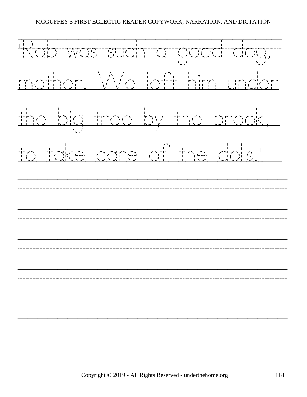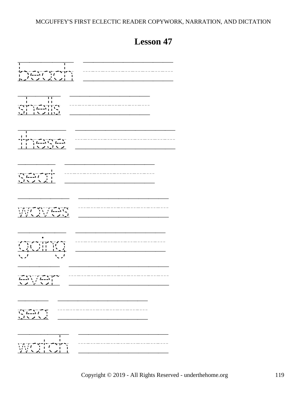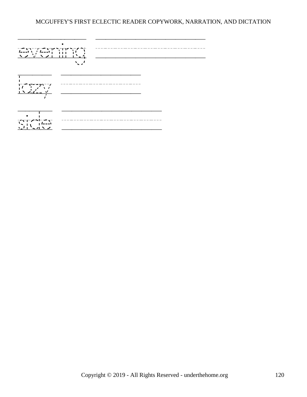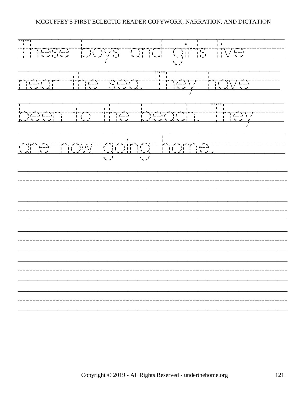These/boys/and/girls/live//// near/the/sea./They/have/// been/to/the/beach./They/// are/now/going/home./////// /////////////////////////// /////////////////////////// /////////////////////////// /////////////////////////// ///////////////////////////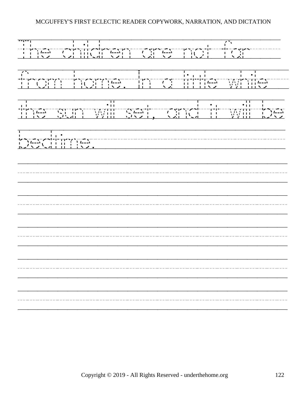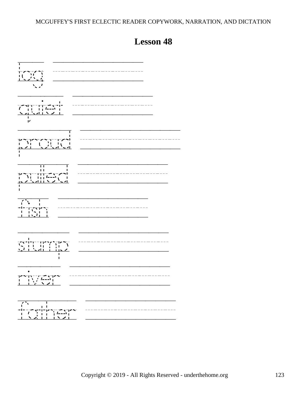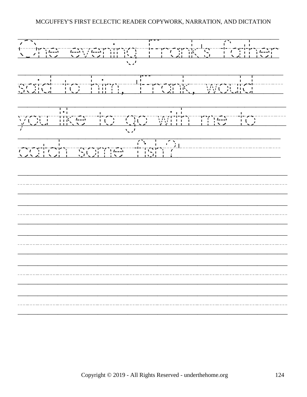One/evening/Frank's/father said/to/him,/'Frank,/would/// you/like/to/go/with/me/to/// catch/some/fish?'////////// /////////////////////////// /////////////////////////// /////////////////////////// /////////////////////////// ///////////////////////////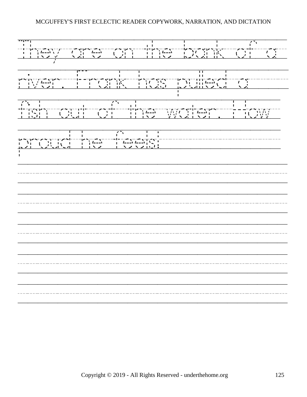They/are/on/the/bank/of/a/  $r^2$ <br>
respectively. The expective of the state of the state of the state of the state of the state of the state of the state of the state of the state of the state of the state of the state of the state of the state of t fish/out/of/the/water./How/ propriate the set of the set of the set of the set of the set of the set of the set of the set of the set of the set of the set of the set of the set of the set of the set of the set of the set of the set of the set of th /////////////////////////// /////////////////////////// /////////////////////////// /////////////////////////// ///////////////////////////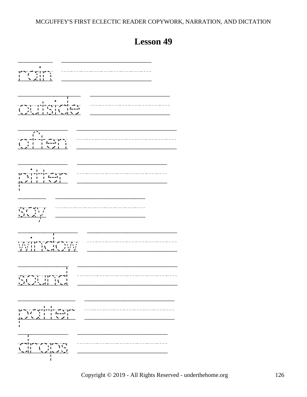

## **Lesson 49**

Copyright © 2019 - All Rights Reserved - underthehome.org 126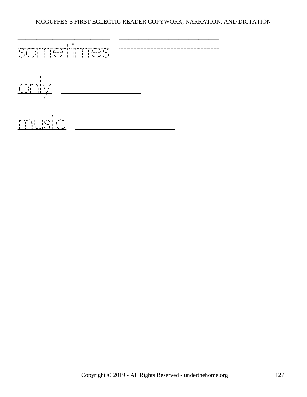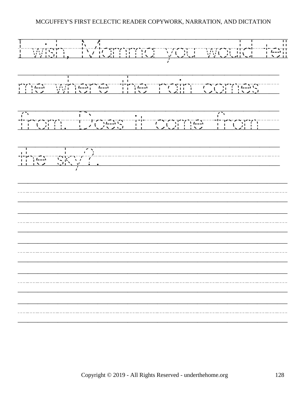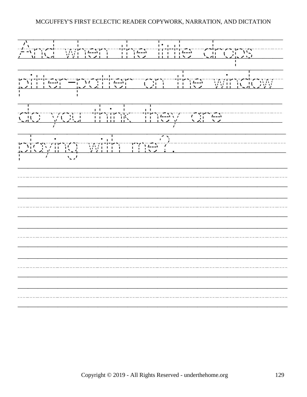And/when/the/little/drops/// pitter-patter/on/the/window/ do/you/think/they/are//////  $p \sim 1$ <br>
playing the contract of the contract of the contract of the contract of the contract of the contract of the contract of the contract of the contract of the contract of the contract of the contract of the contract /////////////////////////// /////////////////////////// /////////////////////////// /////////////////////////// ///////////////////////////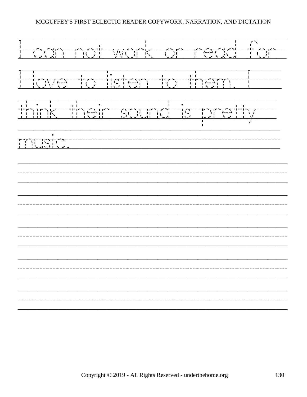I/can/not/work/or/read/for/ I/love/to/listen/to/them./I/// think/their/sound/is/pretty// music.///////////////////// /////////////////////////// /////////////////////////// /////////////////////////// /////////////////////////// ///////////////////////////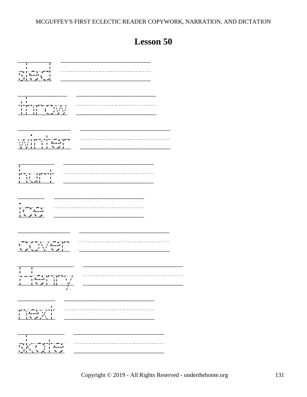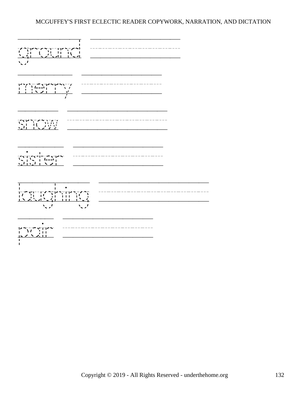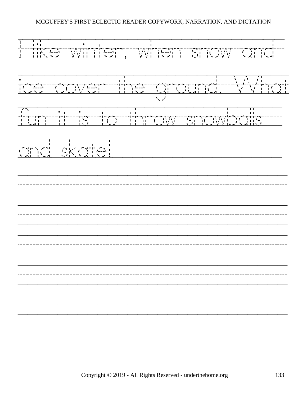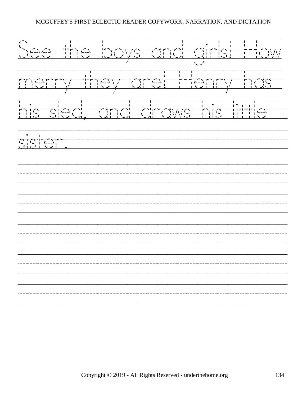See/the/boys/and/girls!/How merry/they/are!/Henry/has/ his/sled,/and/draws/his/little// sister.<br>
signal sins and the signal signal single structure in the signal signal signal signal signal signal signal si<br>
signal signal signal signal signal signal signal signal signal signal signal signal signal signal sig /////////////////////////// /////////////////////////// /////////////////////////// /////////////////////////// ///////////////////////////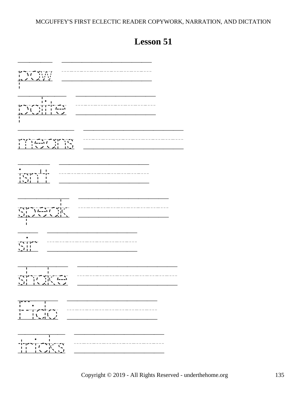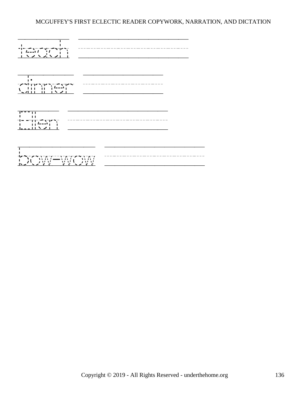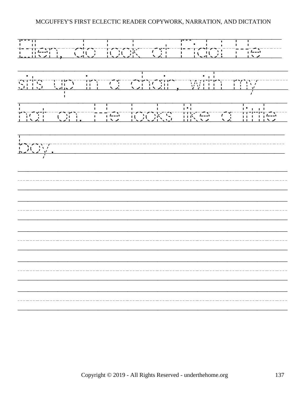Ellen,/do/look/at/Fido!/He//  $s = 1$ <br>sits  $s = 1$ <br>sits  $s = 1$  and  $s = 1$  and  $s = 1$  and  $s = 1$  and  $s = 1$  and  $s = 1$  and  $s = 1$  and  $s = 1$  and  $s = 1$  and  $s = 1$  and  $s = 1$  and  $s = 1$  and  $s = 1$  and  $s = 1$  and  $s = 1$  and  $s = 1$  and  $s = 1$  and  $s = 1$  and hat/on./He/looks/like/a/little/  $\begin{array}{c} \n\begin{array}{c} \n\frac{1}{2} \\
\frac{1}{2} \\
\frac{1}{2} \\
\frac{1}{2} \\
\frac{1}{2} \\
\frac{1}{2} \\
\frac{1}{2} \\
\frac{1}{2} \\
\frac{1}{2} \\
\frac{1}{2} \\
\frac{1}{2} \\
\frac{1}{2} \\
\frac{1}{2} \\
\frac{1}{2} \\
\frac{1}{2} \\
\frac{1}{2} \\
\frac{1}{2} \\
\frac{1}{2} \\
\frac{1}{2} \\
\frac{1}{2} \\
\frac{1}{2} \\
\frac{1}{2} \\
\frac{1}{2} \\
\frac{1}{2} \\
\frac{1}{2} \\
\frac$ /////////////////////////// /////////////////////////// /////////////////////////// /////////////////////////// ///////////////////////////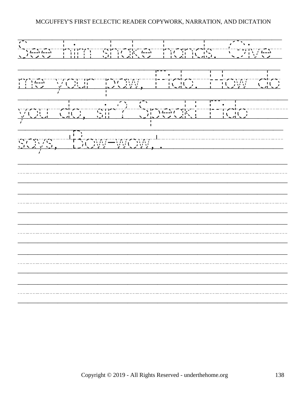See/him/shake/hands./Give/ me/your/paw,/Fido./How/do you/do,/sir?/Speak!/Fido////  $\sum_{i=1}^{n}$  says,  $\sum_{j=1}^{n}$  ,  $\sum_{i=1}^{n}$  ,  $\sum_{i=1}^{n}$  ,  $\sum_{j=1}^{n}$  ,  $\sum_{i=1}^{n}$  ,  $\sum_{i=1}^{n}$  ,  $\sum_{i=1}^{n}$  ,  $\sum_{i=1}^{n}$  ,  $\sum_{i=1}^{n}$  ,  $\sum_{i=1}^{n}$  ,  $\sum_{i=1}^{n}$  ,  $\sum_{i=1}^{n}$  ,  $\sum_{i=1}^{n}$  ,  $\sum_{i=1$ /////////////////////////// /////////////////////////// /////////////////////////// /////////////////////////// ///////////////////////////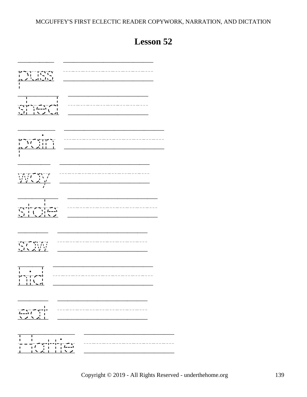| т<br>п                                                                                                                                                                                                                                                                                                              |  |
|---------------------------------------------------------------------------------------------------------------------------------------------------------------------------------------------------------------------------------------------------------------------------------------------------------------------|--|
|                                                                                                                                                                                                                                                                                                                     |  |
| $\begin{array}{c}\n\frac{1}{2} & -1 \\ \frac{1}{2} & \frac{1}{2} \\ \frac{1}{2} & \frac{1}{2} \\ \frac{1}{2} & \frac{1}{2}\n\end{array}$<br>A, Fr                                                                                                                                                                   |  |
| T                                                                                                                                                                                                                                                                                                                   |  |
| SCAN                                                                                                                                                                                                                                                                                                                |  |
| ı<br>$\overline{\phantom{a}}$<br>ŢΓ<br>LL                                                                                                                                                                                                                                                                           |  |
| $\frac{1}{2}$ $\frac{1}{2}$ $\frac{1}{2}$ $\frac{1}{2}$ $\frac{1}{2}$ $\frac{1}{2}$ $\frac{1}{2}$ $\frac{1}{2}$ $\frac{1}{2}$ $\frac{1}{2}$ $\frac{1}{2}$ $\frac{1}{2}$ $\frac{1}{2}$ $\frac{1}{2}$ $\frac{1}{2}$ $\frac{1}{2}$ $\frac{1}{2}$ $\frac{1}{2}$ $\frac{1}{2}$ $\frac{1}{2}$ $\frac{1}{2}$ $\frac{1}{2}$ |  |
| ı<br>╵╶╶╵╼╦╍╟╍╟╹<br>╷╴╷╿╵╎╷╷╷╷╟╍╜<br><u>╵┈╷╿╺┆╷╷╷┆╲╱</u>                                                                                                                                                                                                                                                            |  |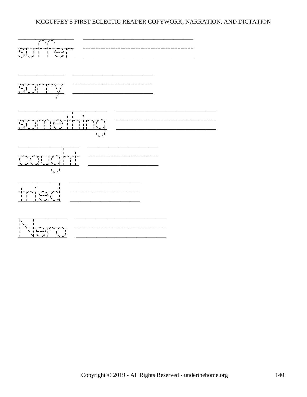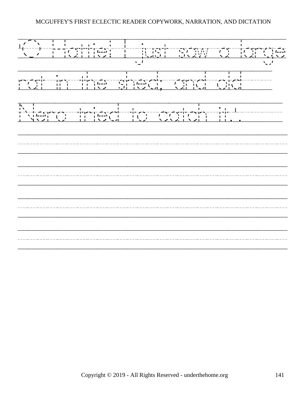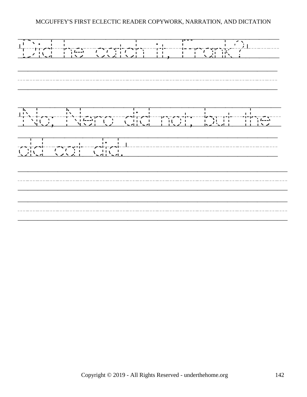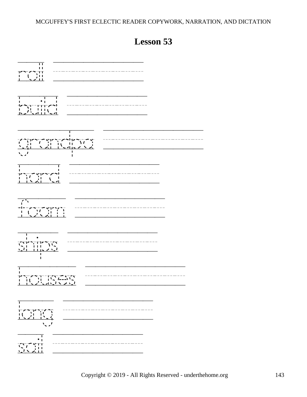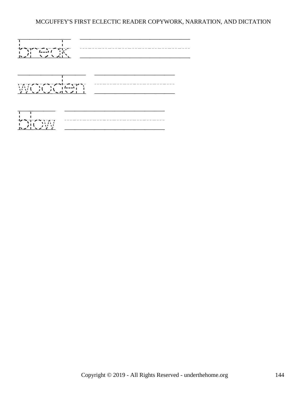





Copyright © 2019 - All Rights Reserved - underthehome.org 144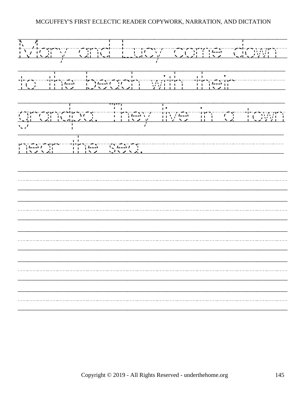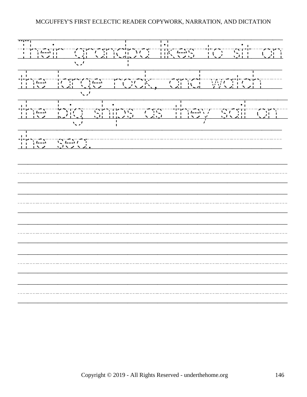Their/grandpa/likes/to/sit/on the/large/rock,/and/watch// the/big/ships/as/they/sail/on/ the search of the search of the search of the search of the search of the search of the search of the search of<br> $\frac{1}{2}$  is the search of the search of the search of the search of the search of the search of the search o /////////////////////////// /////////////////////////// /////////////////////////// /////////////////////////// ///////////////////////////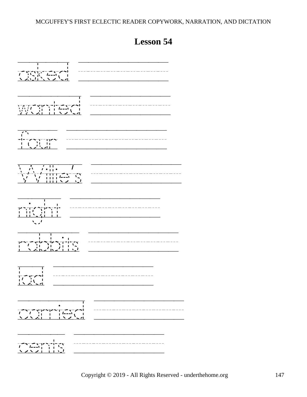## **Lesson 54**

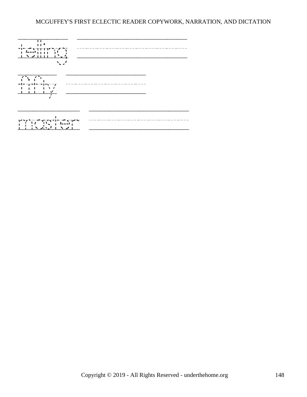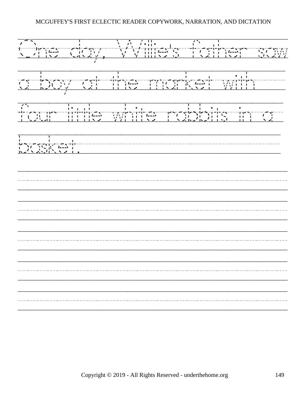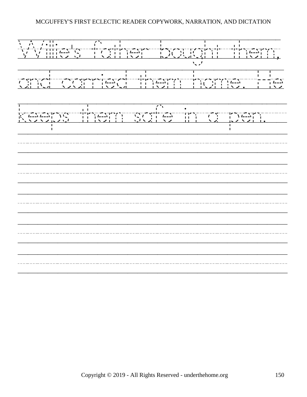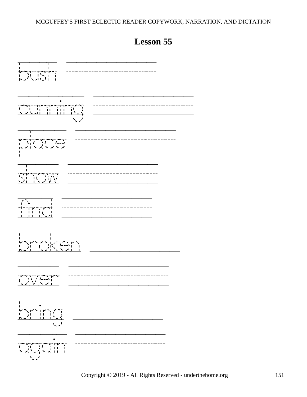

**Lesson 55**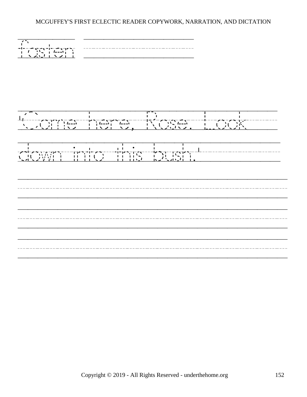

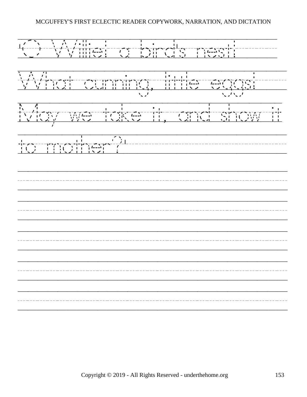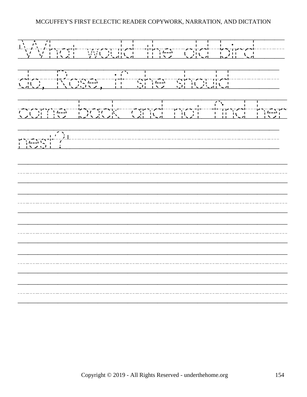'What/would/the/old/bird/// do,/Rose,/if/she/should///// come/back/and/not/find/her nest?'///////////////////// /////////////////////////// /////////////////////////// /////////////////////////// /////////////////////////// ///////////////////////////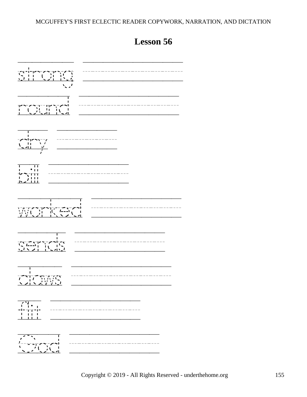

**Lesson 56**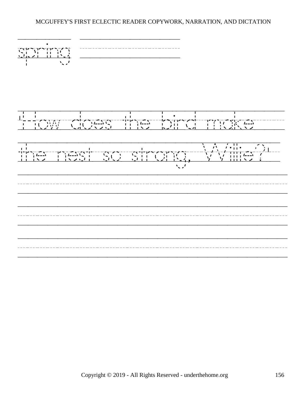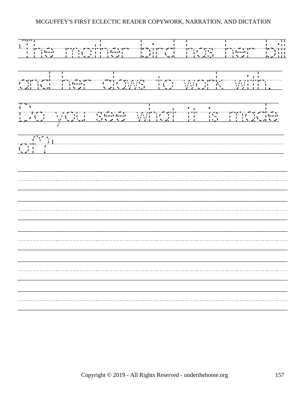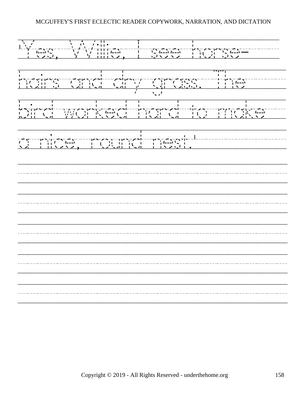'Yes,/Willie,/I/see/horse-/// hairs/and/dry/grass./The//// bird/worked/hard/to/make// a/nice,/round/nest.'///////// /////////////////////////// /////////////////////////// /////////////////////////// /////////////////////////// ///////////////////////////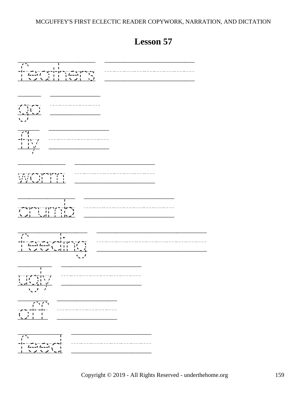**Lesson 57**

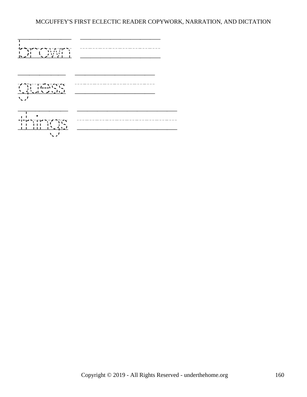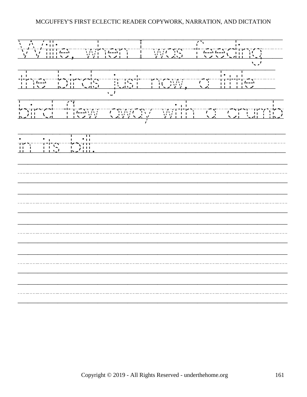Willie,/when/I/was/feeding// the/birds/just/now,/a/little// bird/flew/away/with/a/crumb in/its/bill./////////////////// /////////////////////////// /////////////////////////// /////////////////////////// /////////////////////////// ///////////////////////////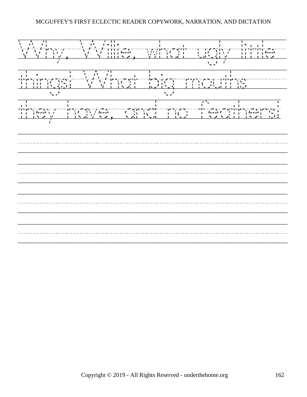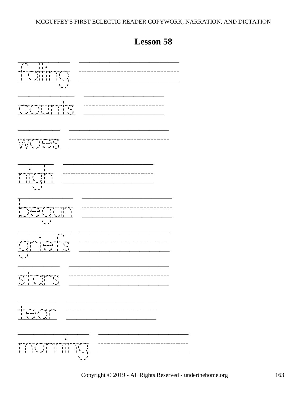

## **Lesson 58**

Copyright © 2019 - All Rights Reserved - underthehome.org 163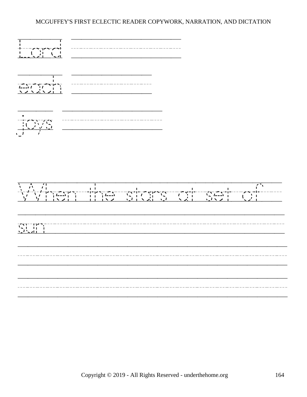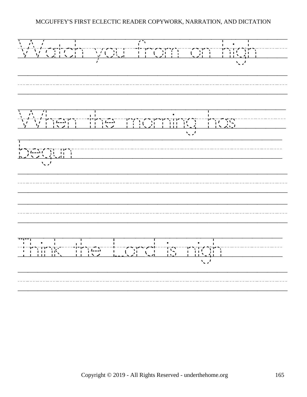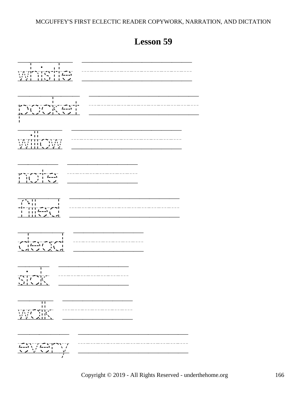**Lesson 59**

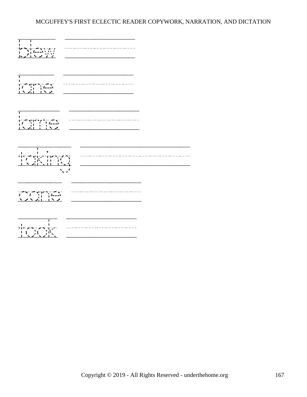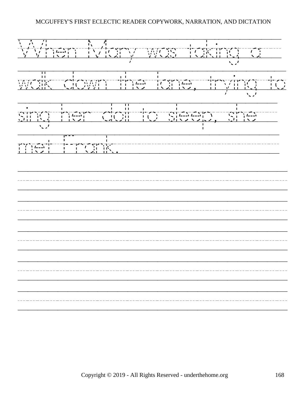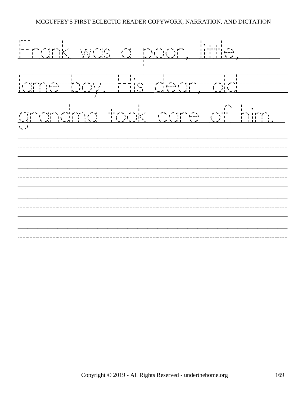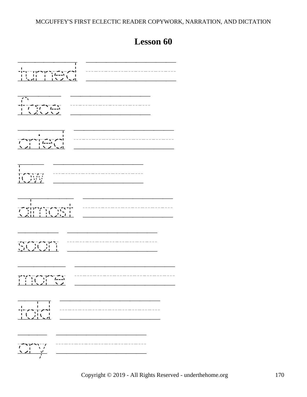# **Lesson 60**

| ╎<br>╺╿╾╕╌╺╒┢╩╤┢╘╤╌╼╸┱┈╆╧╫<br>╎╏╎╹╴╿╎╷╷╎╿╿╍╍╹╿╷╷╿<br><u>╎╏╵</u> ╧╒┦┊╷┈╿┈╷╎╲┈╱╵┖ <u>╺┦</u>                                                                                                                                                                                                                    |
|--------------------------------------------------------------------------------------------------------------------------------------------------------------------------------------------------------------------------------------------------------------------------------------------------------------|
| $\overline{\mathcal{L}^{\bullet}}$                                                                                                                                                                                                                                                                           |
| _________                                                                                                                                                                                                                                                                                                    |
| $\sqrt{2}$                                                                                                                                                                                                                                                                                                   |
| п                                                                                                                                                                                                                                                                                                            |
| .<br>$\mathbb{C}$ , $\mathbb{C}$ , $\mathbb{C}$ , $\mathbb{C}$                                                                                                                                                                                                                                               |
| $\begin{array}{c c c c c} \hline \text{ } & \text{ } & \text{ } & \text{ } & \text{ } & \text{ } \\ \hline \text{ } & \text{ } & \text{ } & \text{ } & \text{ } & \text{ } & \text{ } \\ \hline \text{ } & \text{ } & \text{ } & \text{ } & \text{ } & \text{ } & \text{ } & \text{ } \\ \hline \end{array}$ |
| ┇╾ <del>╱╺</del> ╶┼╌╱╼┼<br>╵╴╿┈╷┆╿ <b>╷</b>                                                                                                                                                                                                                                                                  |
| $\frac{\sqrt{2}}{2}$<br>╯」                                                                                                                                                                                                                                                                                   |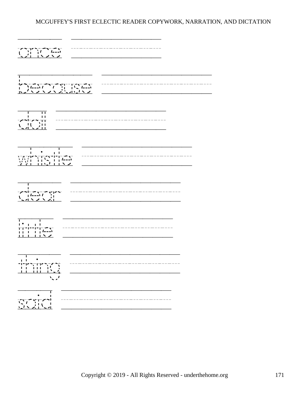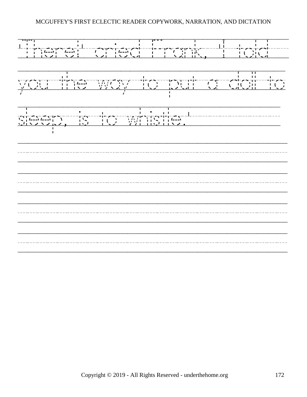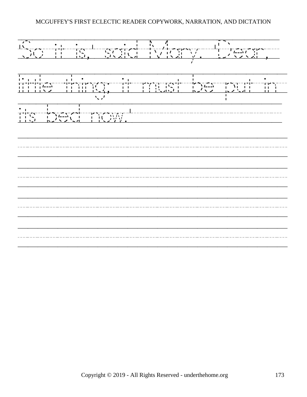'So/it/is,'/said/Mary./'Dear,/ little/thing;//it/mustake/second and the second and the second and the second and the second and the second and<br>little/thing;//it/mustake/second and the second and the second and the second and the second and the second an its/bed/now.'/////////////// /////////////////////////// /////////////////////////// /////////////////////////// ///////////////////////////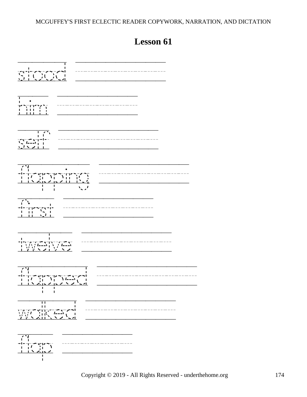# **Lesson 61**



Copyright © 2019 - All Rights Reserved - underthehome.org 174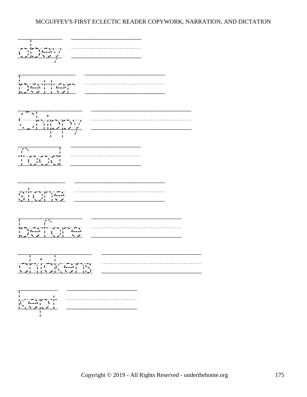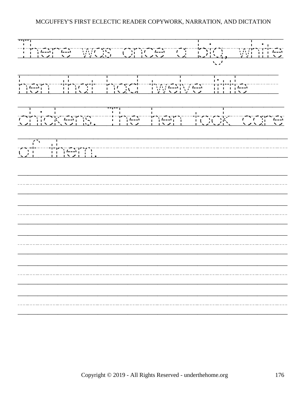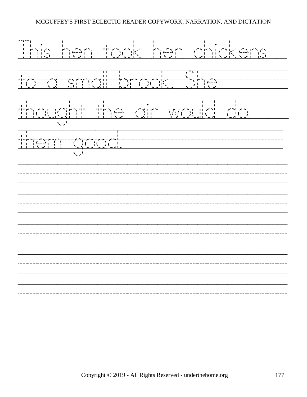This/hen/took/her/chickens// to/a/small/brook./She/////// thought/the/air/would/do//// them/good.//////////////// /////////////////////////// /////////////////////////// /////////////////////////// /////////////////////////// ///////////////////////////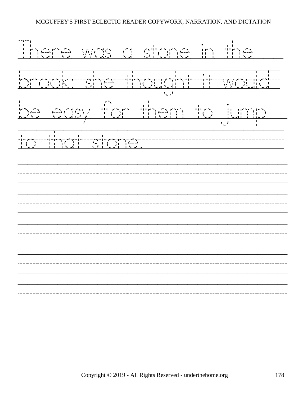There/was/a/stone/in/the/// brook:/she/thought/it/would/ be/easy/for/them/to/jump// to/that/stone.////////////// /////////////////////////// /////////////////////////// /////////////////////////// /////////////////////////// ///////////////////////////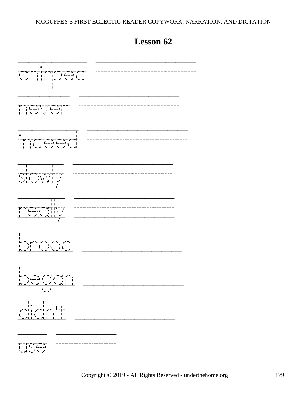chirped ////////// never ////////// indeed ////////// slowly //////////  $r^2$ <br>  $r^2$   $r^2$   $r^2$   $r^2$   $r^2$   $r^2$   $r^2$   $r^2$   $r^2$   $r^2$   $r^2$   $r^2$   $r^2$   $r^2$   $r^2$   $r^2$   $r^2$   $r^2$   $r^2$   $r^2$   $r^2$   $r^2$   $r^2$   $r^2$   $r^2$   $r^2$   $r^2$   $r^2$   $r^2$   $r^2$   $r^2$   $r^2$   $r^2$   $r^2$   $r^2$   $r^2$ brood ////////// began ////////// didn't ////////// use //////

**Lesson 62**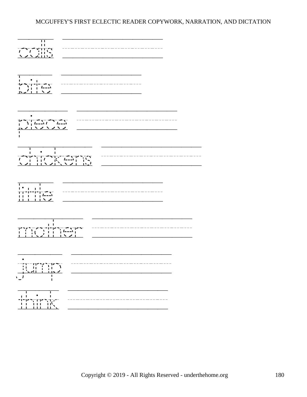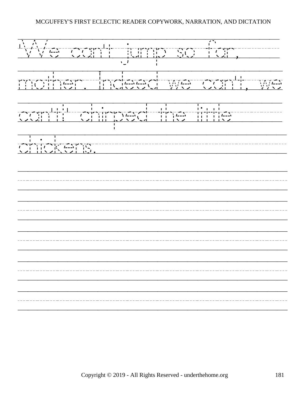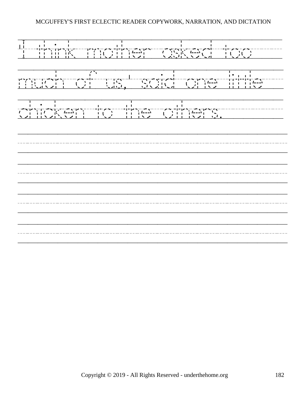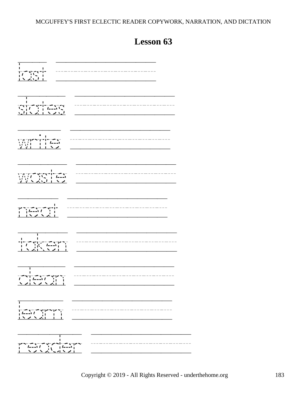# **Lesson 63**

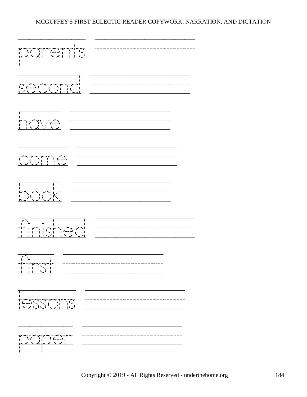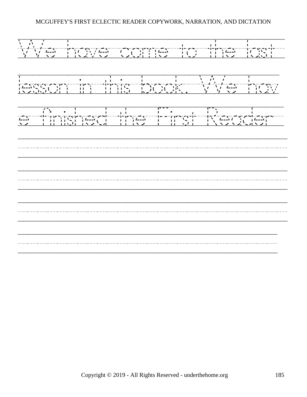